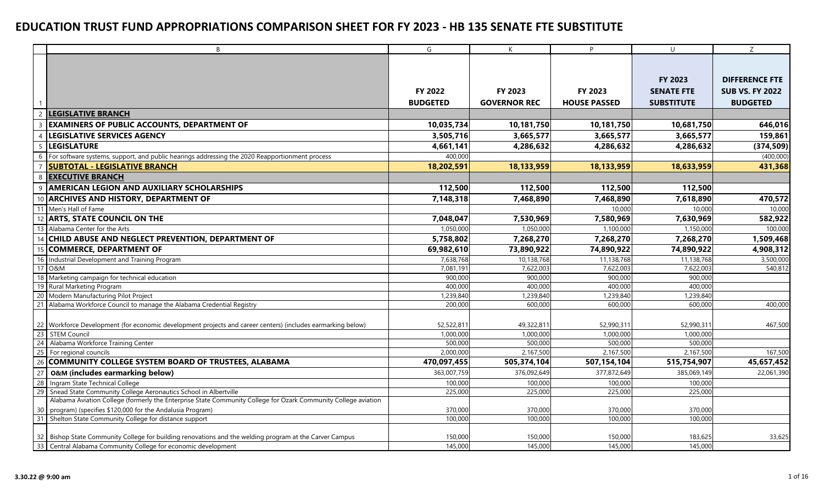|                 | B                                                                                                              | G               | K                   | P                   | $\cup$            | Z                      |
|-----------------|----------------------------------------------------------------------------------------------------------------|-----------------|---------------------|---------------------|-------------------|------------------------|
|                 |                                                                                                                |                 |                     |                     |                   |                        |
|                 |                                                                                                                |                 |                     |                     |                   |                        |
|                 |                                                                                                                |                 |                     |                     | <b>FY 2023</b>    | <b>DIFFERENCE FTE</b>  |
|                 |                                                                                                                | FY 2022         | FY 2023             | FY 2023             | <b>SENATE FTE</b> | <b>SUB VS. FY 2022</b> |
|                 |                                                                                                                | <b>BUDGETED</b> | <b>GOVERNOR REC</b> | <b>HOUSE PASSED</b> | <b>SUBSTITUTE</b> | <b>BUDGETED</b>        |
|                 | <b>LEGISLATIVE BRANCH</b>                                                                                      |                 |                     |                     |                   |                        |
| $\overline{3}$  | <b>EXAMINERS OF PUBLIC ACCOUNTS, DEPARTMENT OF</b>                                                             | 10,035,734      | 10,181,750          | 10,181,750          | 10,681,750        | 646,016                |
| $\overline{A}$  | <b>LEGISLATIVE SERVICES AGENCY</b>                                                                             | 3,505,716       | 3,665,577           | 3,665,577           | 3,665,577         | 159,861                |
| $5\overline{5}$ | <b>LEGISLATURE</b>                                                                                             | 4,661,141       | 4,286,632           | 4,286,632           | 4,286,632         | (374, 509)             |
| 6               | For software systems, support, and public hearings addressing the 2020 Reapportionment process                 | 400,000         |                     |                     |                   | (400,000)              |
|                 | <b>SUBTOTAL - LEGISLATIVE BRANCH</b>                                                                           | 18,202,591      | 18,133,959          | 18,133,959          | 18,633,959        | 431,368                |
| 8               | <b>EXECUTIVE BRANCH</b>                                                                                        |                 |                     |                     |                   |                        |
| q               | AMERICAN LEGION AND AUXILIARY SCHOLARSHIPS                                                                     | 112,500         | 112,500             | 112,500             | 112,500           |                        |
| 10              | <b>ARCHIVES AND HISTORY, DEPARTMENT OF</b>                                                                     | 7,148,318       | 7,468,890           | 7,468,890           | 7,618,890         | 470,572                |
| $\overline{11}$ | Men's Hall of Fame                                                                                             |                 |                     | 10,000              | 10,000            | 10,000                 |
| 12              | <b>ARTS, STATE COUNCIL ON THE</b>                                                                              | 7,048,047       | 7,530,969           | 7,580,969           | 7,630,969         | 582,922                |
| $\overline{13}$ | Alabama Center for the Arts                                                                                    | 1,050,000       | 1,050,000           | 1,100,000           | 1,150,000         | 100,000                |
| 14              | CHILD ABUSE AND NEGLECT PREVENTION, DEPARTMENT OF                                                              | 5,758,802       | 7,268,270           | 7,268,270           | 7,268,270         | 1,509,468              |
| 15              | <b>COMMERCE, DEPARTMENT OF</b>                                                                                 | 69,982,610      | 73,890,922          | 74,890,922          | 74,890,922        | 4,908,312              |
| 16              | Industrial Development and Training Program                                                                    | 7,638,768       | 10,138,768          | 11,138,768          | 11,138,768        | 3,500,000              |
| 17              | <b>O&amp;M</b>                                                                                                 | 7,081,191       | 7,622,003           | 7,622,003           | 7,622,003         | 540,812                |
| 18              | Marketing campaign for technical education                                                                     | 900,000         | 900,000             | 900,000             | 900,000           |                        |
| <b>19</b>       | Rural Marketing Program                                                                                        | 400,000         | 400,000             | 400,000             | 400,000           |                        |
| 20              | Modern Manufacturing Pilot Project                                                                             | 1,239,840       | 1,239,840           | 1,239,840           | 1,239,840         |                        |
| 21              | Alabama Workforce Council to manage the Alabama Credential Registry                                            | 200,000         | 600,000             | 600,000             | 600,000           | 400,000                |
|                 |                                                                                                                |                 |                     |                     |                   |                        |
|                 | 22 Workforce Development (for economic development projects and career centers) (includes earmarking below)    | 52,522,811      | 49,322,811          | 52,990,311          | 52,990,311        | 467,500                |
| 23              | <b>STEM Council</b>                                                                                            | 1,000,000       | 1,000,000           | 1,000,000           | 1,000,000         |                        |
| 24              | Alabama Workforce Training Center                                                                              | 500,000         | 500,000             | 500,000             | 500,000           |                        |
| 25              | For regional councils                                                                                          | 2,000,000       | 2,167,500           | 2,167,500           | 2,167,500         | 167,500                |
| 26              | COMMUNITY COLLEGE SYSTEM BOARD OF TRUSTEES, ALABAMA                                                            | 470,097,455     | 505,374,104         | 507,154,104         | 515,754,907       | 45,657,452             |
| 27              | <b>O&amp;M (includes earmarking below)</b>                                                                     | 363,007,759     | 376,092,649         | 377,872,649         | 385,069,149       | 22,061,390             |
| 28              | Ingram State Technical College                                                                                 | 100,000         | 100,000             | 100,000             | 100,000           |                        |
| 29              | Snead State Community College Aeronautics School in Albertville                                                | 225,000         | 225,000             | 225,000             | 225,000           |                        |
|                 | Alabama Aviation College (formerly the Enterprise State Community College for Ozark Community College aviation |                 |                     |                     |                   |                        |
| 30              | program) (specifies \$120,000 for the Andalusia Program)                                                       | 370,000         | 370,000             | 370,000             | 370,000           |                        |
| 31              | Shelton State Community College for distance support                                                           | 100,000         | 100,000             | 100,000             | 100,000           |                        |
|                 |                                                                                                                |                 |                     |                     |                   |                        |
|                 | 32 Bishop State Community College for building renovations and the welding program at the Carver Campus        | 150,000         | 150,000             | 150,000             | 183,625           | 33,625                 |
| 33              | Central Alabama Community College for economic development                                                     | 145,000         | 145,000             | 145,000             | 145,000           |                        |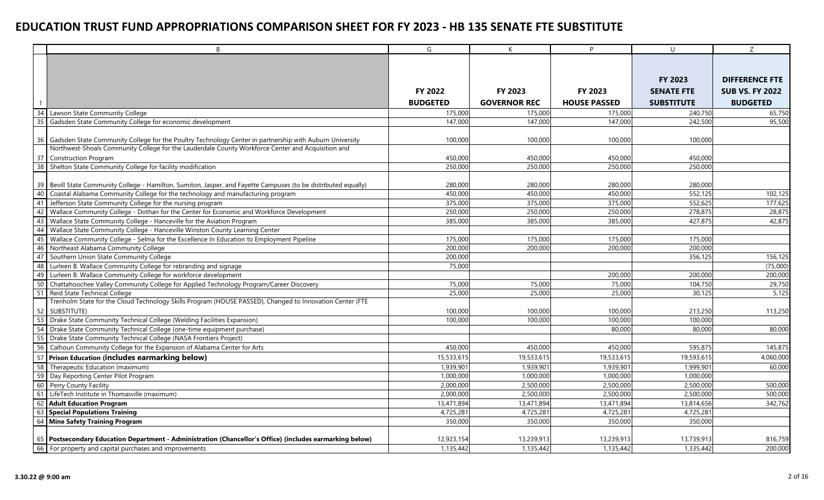|    | <sub>B</sub>                                                                                                                                                                                                    | G               | K                   | P                   | $\cup$            | Z                      |
|----|-----------------------------------------------------------------------------------------------------------------------------------------------------------------------------------------------------------------|-----------------|---------------------|---------------------|-------------------|------------------------|
|    |                                                                                                                                                                                                                 |                 |                     |                     |                   |                        |
|    |                                                                                                                                                                                                                 |                 |                     |                     |                   |                        |
|    |                                                                                                                                                                                                                 |                 |                     |                     | <b>FY 2023</b>    | <b>DIFFERENCE FTE</b>  |
|    |                                                                                                                                                                                                                 | FY 2022         | FY 2023             | FY 2023             | <b>SENATE FTE</b> | <b>SUB VS. FY 2022</b> |
|    |                                                                                                                                                                                                                 |                 |                     |                     |                   |                        |
|    |                                                                                                                                                                                                                 | <b>BUDGETED</b> | <b>GOVERNOR REC</b> | <b>HOUSE PASSED</b> | <b>SUBSTITUTE</b> | <b>BUDGETED</b>        |
| 34 | Lawson State Community College                                                                                                                                                                                  | 175,000         | 175,000             | 175,000             | 240,750           | 65,750                 |
| 35 | Gadsden State Community College for economic development                                                                                                                                                        | 147,000         | 147,000             | 147,000             | 242,500           | 95,500                 |
|    |                                                                                                                                                                                                                 |                 |                     |                     |                   |                        |
|    | 36 Gadsden State Community College for the Poultry Technology Center in partnership with Auburn University<br>Northwest-Shoals Community College for the Lauderdale County Workforce Center and Acquisition and | 100,000         | 100,000             | 100,000             | 100,000           |                        |
| 37 | Construction Program                                                                                                                                                                                            | 450,000         | 450,000             | 450,000             | 450,000           |                        |
| 38 | Shelton State Community College for facility modification                                                                                                                                                       | 250,000         | 250,000             | 250,000             | 250,000           |                        |
|    |                                                                                                                                                                                                                 |                 |                     |                     |                   |                        |
| 39 | Bevill State Community College - Hamilton, Sumiton, Jasper, and Fayette Campuses (to be distributed equally)                                                                                                    | 280,000         | 280,000             | 280,000             | 280,000           |                        |
| 40 | Coastal Alabama Community College for the technology and manufacturing program                                                                                                                                  | 450,000         | 450,000             | 450,000             | 552,125           | 102,125                |
| 41 | Jefferson State Community College for the nursing program                                                                                                                                                       | 375,000         | 375,000             | 375,000             | 552,625           | 177,625                |
| 42 | Wallace Community College - Dothan for the Center for Economic and Workforce Development                                                                                                                        | 250,000         | 250,000             | 250,000             | 278,875           | 28,875                 |
| 43 | Wallace State Community College - Hanceville for the Aviation Program                                                                                                                                           | 385,000         | 385,000             | 385,000             | 427,875           | 42,875                 |
| 44 | Wallace State Community College - Hanceville Winston County Learning Center                                                                                                                                     |                 |                     |                     |                   |                        |
| 45 | Wallace Community College - Selma for the Excellence In Education to Employment Pipeline                                                                                                                        | 175,000         | 175,000             | 175,000             | 175,000           |                        |
| 46 | Northeast Alabama Community College                                                                                                                                                                             | 200,000         | 200,000             | 200,000             | 200,000           |                        |
| 47 | Southern Union State Community College                                                                                                                                                                          | 200,000         |                     |                     | 356,125           | 156,125                |
| 48 | Lurleen B. Wallace Community College for rebranding and signage                                                                                                                                                 | 75,000          |                     |                     |                   | (75,000)               |
| 49 | Lurleen B. Wallace Community College for workforce development                                                                                                                                                  |                 |                     | 200,000             | 200,000           | 200,000                |
| 50 | Chattahoochee Valley Community College for Applied Technology Program/Career Discovery                                                                                                                          | 75,000          | 75,000              | 75,000              | 104,750           | 29,750                 |
| 51 | Reid State Technical College                                                                                                                                                                                    | 25,000          | 25,000              | 25,000              | 30.125            | 5,125                  |
|    | Trenholm State for the Cloud Technology Skills Program (HOUSE PASSED), Changed to Innovation Center (FTE                                                                                                        |                 |                     |                     |                   |                        |
|    | 52 SUBSTITUTE)                                                                                                                                                                                                  | 100,000         | 100,000             | 100,000             | 213,250           | 113,250                |
| 53 | Drake State Community Technical College (Welding Facilities Expansion)                                                                                                                                          | 100,000         | 100,000             | 100,000             | 100,000           |                        |
| 54 | Drake State Community Technical College (one-time equipment purchase)                                                                                                                                           |                 |                     | 80,000              | 80,000            | 80,000                 |
| 55 | Drake State Community Technical College (NASA Frontiers Project)                                                                                                                                                |                 |                     |                     |                   |                        |
| 56 | Calhoun Community College for the Expansion of Alabama Center for Arts                                                                                                                                          | 450,000         | 450,000             | 450,000             | 595,875           | 145,875                |
| 57 | Prison Education (includes earmarking below)                                                                                                                                                                    | 15,533,615      | 19,533,615          | 19,533,615          | 19,593,615        | 4,060,000              |
| 58 | Therapeutic Education (maximum)                                                                                                                                                                                 | 1,939,901       | 1,939,901           | 1,939,901           | 1,999,901         | 60,000                 |
| 59 | Day Reporting Center Pilot Program                                                                                                                                                                              | 1,000,000       | 1,000,000           | 1,000,000           | 1,000,000         |                        |
|    | 60 Perry County Facility                                                                                                                                                                                        | 2,000,000       | 2,500,000           | 2,500,000           | 2,500,000         | 500,000                |
| 61 | LifeTech Institute in Thomasville (maximum)                                                                                                                                                                     | 2,000,000       | 2,500,000           | 2,500,000           | 2,500,000         | 500,000                |
| 62 | <b>Adult Education Program</b>                                                                                                                                                                                  | 13,471,894      | 13,471,894          | 13,471,894          | 13,814,656        | 342,762                |
|    | 63 Special Populations Training                                                                                                                                                                                 | 4,725,281       | 4,725,281           | 4,725,281           | 4,725,281         |                        |
|    | 64 Mine Safety Training Program                                                                                                                                                                                 | 350,000         | 350,000             | 350,000             | 350,000           |                        |
|    | 65   Postsecondary Education Department - Administration (Chancellor's Office) (includes earmarking below)                                                                                                      | 12,923,154      | 13,239,913          | 13,239,913          | 13,739,913        | 816,759                |
|    | 66 For property and capital purchases and improvements                                                                                                                                                          | 1,135,442       | 1,135,442           | 1,135,442           | 1,335,442         | 200,000                |
|    |                                                                                                                                                                                                                 |                 |                     |                     |                   |                        |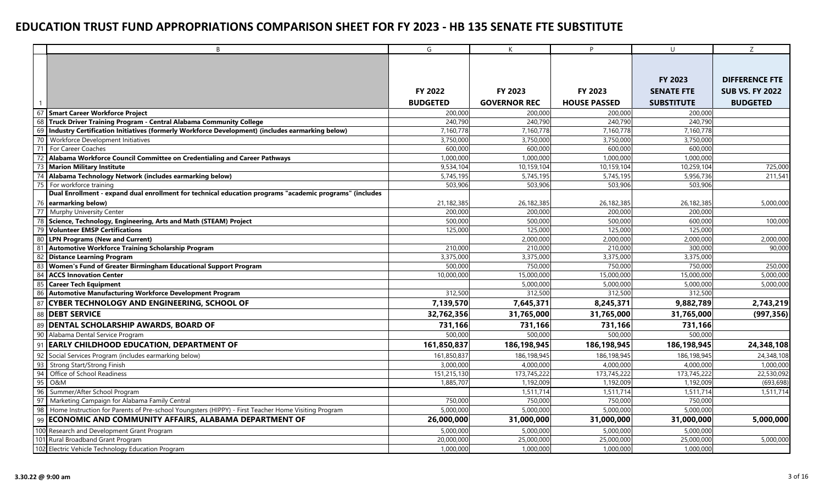|          | B                                                                                                       | G               | K                   | <b>P</b>            | $\cup$            | Z                      |
|----------|---------------------------------------------------------------------------------------------------------|-----------------|---------------------|---------------------|-------------------|------------------------|
|          |                                                                                                         |                 |                     |                     |                   |                        |
|          |                                                                                                         |                 |                     |                     |                   |                        |
|          |                                                                                                         |                 |                     |                     | FY 2023           | <b>DIFFERENCE FTE</b>  |
|          |                                                                                                         | FY 2022         | FY 2023             | FY 2023             | <b>SENATE FTE</b> | <b>SUB VS. FY 2022</b> |
|          |                                                                                                         | <b>BUDGETED</b> | <b>GOVERNOR REC</b> | <b>HOUSE PASSED</b> | <b>SUBSTITUTE</b> | <b>BUDGETED</b>        |
|          | 67 Smart Career Workforce Project                                                                       | 200,000         | 200,000             | 200,000             | 200,000           |                        |
| 68       | <b>Truck Driver Training Program - Central Alabama Community College</b>                                | 240.790         | 240.790             | 240,790             | 240.790           |                        |
| 69       | Industry Certification Initiatives (formerly Workforce Development) (includes earmarking below)         | 7,160,778       | 7,160,778           | 7,160,778           | 7,160,778         |                        |
| 70       | Workforce Development Initiatives                                                                       | 3,750,000       | 3,750,000           | 3,750,000           | 3,750,000         |                        |
| 71       | For Career Coaches                                                                                      | 600,000         | 600,000             | 600,000             | 600,000           |                        |
| 72       | Alabama Workforce Council Committee on Credentialing and Career Pathways                                | 1,000,000       | 1,000,000           | 1,000,000           | 1,000,000         |                        |
| 73       | <b>Marion Military Institute</b>                                                                        | 9,534,104       | 10,159,104          | 10,159,104          | 10,259,104        | 725,000                |
| 74       | Alabama Technology Network (includes earmarking below)                                                  | 5,745,195       | 5,745,195           | 5,745,195           | 5,956,736         | 211,541                |
| 75       | For workforce training                                                                                  | 503,906         | 503,906             | 503,906             | 503,906           |                        |
|          | Dual Enrollment - expand dual enrollment for technical education programs "academic programs" (includes |                 |                     |                     |                   |                        |
|          | 76 earmarking below)                                                                                    | 21,182,385      | 26,182,385          | 26,182,385          | 26,182,385        | 5,000,000              |
| 77       | Murphy University Center                                                                                | 200,000         | 200,000             | 200,000             | 200,000           |                        |
| 78       | Science, Technology, Engineering, Arts and Math (STEAM) Project                                         | 500,000         | 500,000             | 500,000             | 600,000           | 100,000                |
|          | 79 Volunteer EMSP Certifications                                                                        | 125,000         | 125,000             | 125,000             | 125,000           |                        |
|          | 80 LPN Programs (New and Current)                                                                       |                 | 2,000,000           | 2,000,000           | 2,000,000         | 2,000,000              |
|          | 81 Automotive Workforce Training Scholarship Program                                                    | 210,000         | 210,000             | 210,000             | 300,000           | 90,000                 |
| 82       | <b>Distance Learning Program</b>                                                                        | 3,375,000       | 3,375,000           | 3,375,000           | 3,375,000         |                        |
| 83       | Women's Fund of Greater Birmingham Educational Support Program                                          | 500,000         | 750,000             | 750,000             | 750,000           | 250,000                |
| 84       | <b>ACCS Innovation Center</b>                                                                           | 10,000,000      | 15,000,000          | 15,000,000          | 15,000,000        | 5,000,000              |
| 85<br>86 | <b>Career Tech Equipment</b>                                                                            |                 | 5,000,000           | 5,000,000           | 5,000,000         | 5,000,000              |
|          | <b>Automotive Manufacturing Workforce Development Program</b>                                           | 312,500         | 312,500             | 312,500             | 312,500           |                        |
| 87       | <b>CYBER TECHNOLOGY AND ENGINEERING, SCHOOL OF</b>                                                      | 7,139,570       | 7,645,371           | 8,245,371           | 9,882,789         | 2,743,219              |
| 88       | <b>DEBT SERVICE</b>                                                                                     | 32,762,356      | 31,765,000          | 31,765,000          | 31,765,000        | (997, 356)             |
| 89       | <b>DENTAL SCHOLARSHIP AWARDS, BOARD OF</b>                                                              | 731,166         | 731,166             | 731,166             | 731,166           |                        |
|          | 90 Alabama Dental Service Program                                                                       | 500,000         | 500,000             | 500,000             | 500,000           |                        |
| 91       | <b>EARLY CHILDHOOD EDUCATION, DEPARTMENT OF</b>                                                         | 161,850,837     | 186,198,945         | 186,198,945         | 186,198,945       | 24,348,108             |
|          | 92 Social Services Program (includes earmarking below)                                                  | 161,850,837     | 186,198,945         | 186,198,945         | 186,198,945       | 24,348,108             |
| 93       | Strong Start/Strong Finish                                                                              | 3,000,000       | 4,000,000           | 4,000,000           | 4,000,000         | 1,000,000              |
| 94       | Office of School Readiness                                                                              | 151,215,130     | 173,745,222         | 173,745,222         | 173,745,222       | 22,530,092             |
| 95       | <b>O&amp;M</b>                                                                                          | 1,885,707       | 1,192,009           | 1,192,009           | 1,192,009         | (693, 698)             |
| 96       | Summer/After School Program                                                                             |                 | 1,511,714           | 1,511,714           | 1,511,714         | 1,511,714              |
| 97       | Marketing Campaign for Alabama Family Central                                                           | 750,000         | 750,000             | 750,000             | 750,000           |                        |
| 98       | Home Instruction for Parents of Pre-school Youngsters (HIPPY) - First Teacher Home Visiting Program     | 5,000,000       | 5,000,000           | 5,000,000           | 5,000,000         |                        |
| 99       | ECONOMIC AND COMMUNITY AFFAIRS, ALABAMA DEPARTMENT OF                                                   | 26,000,000      | 31,000,000          | 31,000,000          | 31,000,000        | 5,000,000              |
|          | 100 Research and Development Grant Program                                                              | 5,000,000       | 5,000,000           | 5,000,000           | 5,000,000         |                        |
|          | 101 Rural Broadband Grant Program                                                                       | 20,000,000      | 25,000,000          | 25,000,000          | 25,000,000        | 5,000,000              |
|          | 102 Electric Vehicle Technology Education Program                                                       | 1,000,000       | 1,000,000           | 1,000,000           | 1,000,000         |                        |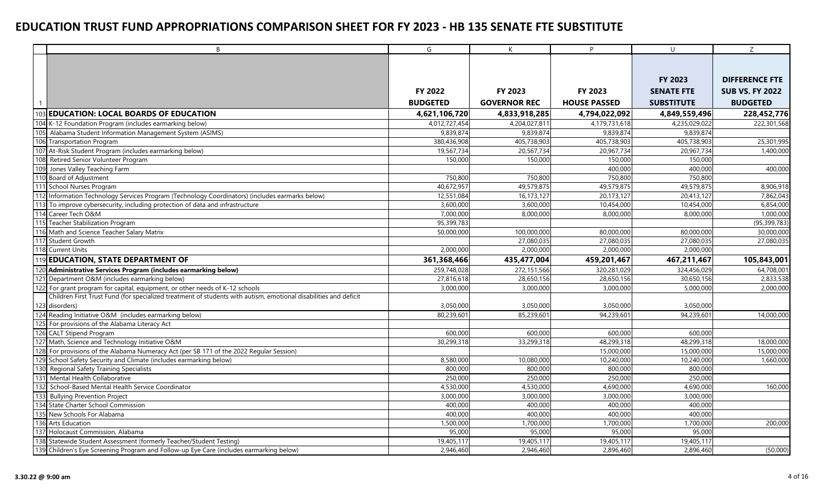|     | B                                                                                                                | G               | K                   | P.                  | $\cup$            | Z                      |
|-----|------------------------------------------------------------------------------------------------------------------|-----------------|---------------------|---------------------|-------------------|------------------------|
|     |                                                                                                                  |                 |                     |                     |                   |                        |
|     |                                                                                                                  |                 |                     |                     |                   |                        |
|     |                                                                                                                  |                 |                     |                     | FY 2023           | <b>DIFFERENCE FTE</b>  |
|     |                                                                                                                  | <b>FY 2022</b>  | FY 2023             | FY 2023             | <b>SENATE FTE</b> | <b>SUB VS. FY 2022</b> |
|     |                                                                                                                  | <b>BUDGETED</b> | <b>GOVERNOR REC</b> | <b>HOUSE PASSED</b> | <b>SUBSTITUTE</b> | <b>BUDGETED</b>        |
|     | 103 EDUCATION: LOCAL BOARDS OF EDUCATION                                                                         | 4,621,106,720   | 4,833,918,285       | 4,794,022,092       | 4,849,559,496     | 228,452,776            |
|     | 104 K-12 Foundation Program (includes earmarking below)                                                          | 4.012.727.454   | 4.204.027.811       | 4.179.731.618       | 4,235,029,022     | 222,301,568            |
| 105 | Alabama Student Information Management System (ASIMS)                                                            | 9,839,874       | 9,839,874           | 9,839,874           | 9,839,874         |                        |
| 106 | <b>Transportation Program</b>                                                                                    | 380,436,908     | 405,738,903         | 405,738,903         | 405,738,903       | 25,301,995             |
| 107 | At-Risk Student Program (includes earmarking below)                                                              | 19,567,734      | 20,567,734          | 20,967,734          | 20,967,734        | 1,400,000              |
| 108 | Retired Senior Volunteer Program                                                                                 | 150,000         | 150,000             | 150,000             | 150,000           |                        |
|     | 109 Jones Valley Teaching Farm                                                                                   |                 |                     | 400,000             | 400,000           | 400,000                |
|     | 110 Board of Adjustment                                                                                          | 750,800         | 750,800             | 750,800             | 750,800           |                        |
|     | 111 School Nurses Program                                                                                        | 40,672,957      | 49,579,875          | 49,579,875          | 49,579,875        | 8,906,918              |
| 112 | Information Technology Services Program (Technology Coordinators) (includes earmarks below)                      | 12,551,084      | 16, 173, 127        | 20,173,127          | 20,413,127        | 7,862,043              |
| 113 | To improve cybersecurity, including protection of data and infrastructure                                        | 3,600,000       | 3,600,000           | 10,454,000          | 10,454,000        | 6,854,000              |
| 114 | Career Tech O&M                                                                                                  | 7,000,000       | 8,000,000           | 8,000,000           | 8,000,000         | 1,000,000              |
|     | 115 Teacher Stabilization Program                                                                                | 95,399,783      |                     |                     |                   | (95, 399, 783)         |
|     | 116 Math and Science Teacher Salary Matrix                                                                       | 50,000,000      | 100,000,000         | 80,000,000          | 80,000,000        | 30,000,000             |
|     | 117 Student Growth                                                                                               |                 | 27,080,035          | 27,080,035          | 27,080,035        | 27,080,035             |
|     | 118 Current Units                                                                                                | 2,000,000       | 2,000,000           | 2,000,000           | 2,000,000         |                        |
|     | 119 EDUCATION, STATE DEPARTMENT OF                                                                               | 361,368,466     | 435,477,004         | 459,201,467         | 467,211,467       | 105,843,001            |
|     | 120 Administrative Services Program (includes earmarking below)                                                  | 259,748,028     | 272,151,566         | 320.281.029         | 324,456.029       | 64,708,001             |
| 121 | Department O&M (includes earmarking below)                                                                       | 27,816,618      | 28,650,156          | 28,650,156          | 30,650,156        | 2,833,538              |
| 122 | For grant program for capital, equipment, or other needs of K-12 schools                                         | 3,000,000       | 3,000,000           | 3,000,000           | 5,000,000         | 2,000,000              |
|     | Children First Trust Fund (for specialized treatment of students with autism, emotional disabilities and deficit |                 |                     |                     |                   |                        |
|     | 123 disorders)                                                                                                   | 3,050,000       | 3,050,000           | 3,050,000           | 3,050,000         |                        |
|     | 124 Reading Initiative O&M (includes earmarking below)                                                           | 80,239,60       | 85,239,601          | 94,239,601          | 94,239,601        | 14,000,000             |
|     | 125 For provisions of the Alabama Literacy Act                                                                   |                 |                     |                     |                   |                        |
|     | 126 CALT Stipend Program                                                                                         | 600,000         | 600,000             | 600,000             | 600,000           |                        |
|     | 127 Math, Science and Technology Initiative O&M                                                                  | 30,299,318      | 33,299,318          | 48,299,318          | 48,299,318        | 18,000,000             |
|     | 128 For provisions of the Alabama Numeracy Act (per SB 171 of the 2022 Regular Session)                          |                 |                     | 15,000,000          | 15,000,000        | 15,000,000             |
|     | 129 School Safety Security and Climate (includes earmarking below)                                               | 8,580,000       | 10,080,000          | 10,240,000          | 10,240,000        | 1,660,000              |
| 130 | Regional Safety Training Specialists                                                                             | 800,000         | 800,000             | 800,000             | 800,000           |                        |
| 131 | Mental Health Collaborative                                                                                      | 250,000         | 250,000             | 250,000             | 250,000           |                        |
| 132 | School-Based Mental Health Service Coordinator                                                                   | 4,530,000       | 4,530,000           | 4,690,000           | 4,690,000         | 160,000                |
| 133 | <b>Bullying Prevention Project</b>                                                                               | 3,000,000       | 3,000,000           | 3,000,000           | 3,000,000         |                        |
|     | 134 State Charter School Commission                                                                              | 400,000         | 400,000             | 400,000             | 400,000           |                        |
|     | 135 New Schools For Alabama                                                                                      | 400,000         | 400,000             | 400,000             | 400,000           |                        |
|     | 136 Arts Education                                                                                               | 1,500,00        | 1,700,000           | 1,700,000           | 1,700,000         | 200,000                |
| 137 | Holocaust Commission, Alabama                                                                                    | 95,000          | 95,000              | 95,000              | 95,000            |                        |
|     | 138 Statewide Student Assessment (formerly Teacher/Student Testing)                                              | 19,405,117      | 19,405,117          | 19,405,117          | 19,405,117        |                        |
|     | 139 Children's Eye Screening Program and Follow-up Eye Care (includes earmarking below)                          | 2,946,460       | 2,946,460           | 2,896,460           | 2,896,460         | (50,000)               |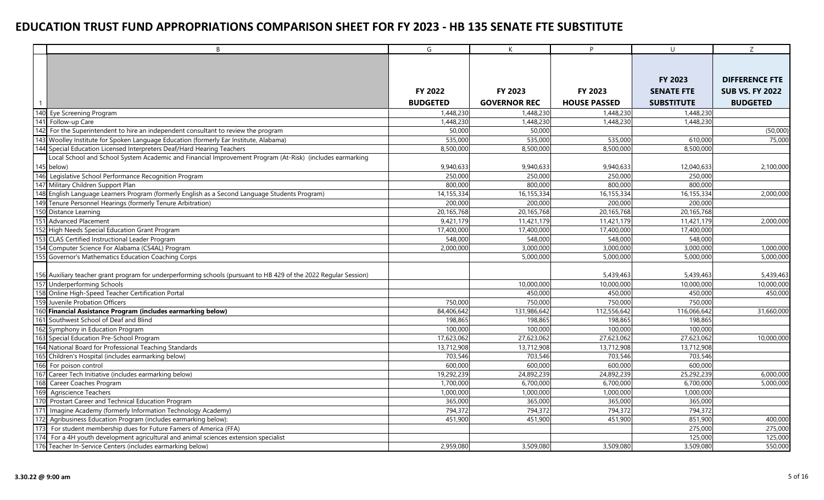|       | B                                                                                                                | G               | K                   | P.                  | $\cup$            | Z                      |
|-------|------------------------------------------------------------------------------------------------------------------|-----------------|---------------------|---------------------|-------------------|------------------------|
|       |                                                                                                                  |                 |                     |                     |                   |                        |
|       |                                                                                                                  |                 |                     |                     |                   |                        |
|       |                                                                                                                  |                 |                     |                     | FY 2023           | <b>DIFFERENCE FTE</b>  |
|       |                                                                                                                  | <b>FY 2022</b>  | FY 2023             | FY 2023             | <b>SENATE FTE</b> | <b>SUB VS. FY 2022</b> |
|       |                                                                                                                  | <b>BUDGETED</b> | <b>GOVERNOR REC</b> | <b>HOUSE PASSED</b> | <b>SUBSTITUTE</b> | <b>BUDGETED</b>        |
|       | 140 Eye Screening Program                                                                                        | 1,448,230       | 1,448,230           | 1,448,230           | 1,448,230         |                        |
| 141   | Follow-up Care                                                                                                   | 1,448,230       | 1,448,230           | 1,448,230           | 1,448,230         |                        |
|       | 142 For the Superintendent to hire an independent consultant to review the program                               | 50,000          | 50,000              |                     |                   | (50,000)               |
|       | 143 Woolley Institute for Spoken Language Education (formerly Ear Institute, Alabama)                            | 535,000         | 535,000             | 535,000             | 610,000           | 75,000                 |
|       | 144 Special Education Licensed Interpreters Deaf/Hard Hearing Teachers                                           | 8,500,000       | 8,500,000           | 8,500,000           | 8,500,000         |                        |
|       | Local School and School System Academic and Financial Improvement Program (At-Risk) (includes earmarking         |                 |                     |                     |                   |                        |
|       | 145 below)                                                                                                       | 9,940,633       | 9,940,633           | 9,940,633           | 12,040,633        | 2,100,000              |
| 146   | Legislative School Performance Recognition Program                                                               | 250,000         | 250,000             | 250,000             | 250,000           |                        |
|       | 147 Military Children Support Plan                                                                               | 800,000         | 800,000             | 800,000             | 800,000           |                        |
|       | 148 English Language Learners Program (formerly English as a Second Language Students Program)                   | 14, 155, 334    | 16,155,334          | 16,155,334          | 16, 155, 334      | 2,000,000              |
| 149   | Tenure Personnel Hearings (formerly Tenure Arbitration)                                                          | 200,000         | 200,000             | 200,000             | 200,000           |                        |
| 150   | Distance Learning                                                                                                | 20,165,768      | 20, 165, 768        | 20,165,768          | 20,165,768        |                        |
| 151   | Advanced Placement                                                                                               | 9,421,179       | 11,421,179          | 11,421,179          | 11,421,179        | 2,000,000              |
|       | 152 High Needs Special Education Grant Program                                                                   | 17,400,000      | 17,400,000          | 17,400,000          | 17,400,000        |                        |
| 153   | CLAS Certified Instructional Leader Program                                                                      | 548,000         | 548,000             | 548,000             | 548,000           |                        |
| 154   | Computer Science For Alabama (CS4AL) Program                                                                     | 2,000,000       | 3,000,000           | 3,000,000           | 3,000,000         | 1,000,000              |
|       | 155 Governor's Mathematics Education Coaching Corps                                                              |                 | 5,000,000           | 5.000.000           | 5,000,000         | 5,000,000              |
|       |                                                                                                                  |                 |                     |                     |                   |                        |
|       | 156 Auxiliary teacher grant program for underperforming schools (pursuant to HB 429 of the 2022 Regular Session) |                 |                     | 5,439,463           | 5,439,463         | 5,439,463              |
|       | 157 Underperforming Schools                                                                                      |                 | 10,000,000          | 10.000.000          | 10,000,000        | 10,000,000             |
|       | 158 Online High-Speed Teacher Certification Portal                                                               |                 | 450,000             | 450,000             | 450,000           | 450,000                |
| 159   | Juvenile Probation Officers                                                                                      | 750,000         | 750,000             | 750,000             | 750,000           |                        |
|       | 160 Financial Assistance Program (includes earmarking below)                                                     | 84,406,642      | 131,986,642         | 112,556,642         | 116,066,642       | 31,660,000             |
| 161   | Southwest School of Deaf and Blind                                                                               | 198.865         | 198,865             | 198,865             | 198,865           |                        |
|       | 162 Symphony in Education Program                                                                                | 100,000         | 100,000             | 100,000             | 100,000           |                        |
| 163   | Special Education Pre-School Program                                                                             | 17,623,062      | 27,623,062          | 27,623,062          | 27,623,062        | 10,000,000             |
|       | 164 National Board for Professional Teaching Standards                                                           | 13,712,908      | 13,712,908          | 13,712,908          | 13,712,908        |                        |
| 165   | Children's Hospital (includes earmarking below)                                                                  | 703,546         | 703,546             | 703,546             | 703,546           |                        |
| 166   | For poison control                                                                                               | 600,000         | 600,000             | 600,000             | 600,000           |                        |
| 167   | Career Tech Initiative (includes earmarking below)                                                               | 19,292,239      | 24,892,239          | 24,892,239          | 25,292,239        | 6,000,000              |
| 168   | Career Coaches Program                                                                                           | 1,700,000       | 6.700.000           | 6,700,000           | 6,700,000         | 5,000,000              |
| 169   | Agriscience Teachers                                                                                             | 1,000,000       | 1,000,000           | 1,000,000           | 1,000,000         |                        |
| 170   | Prostart Career and Technical Education Program                                                                  | 365,000         | 365,000             | 365,000             | 365,000           |                        |
| $171$ | Imagine Academy (formerly Information Technology Academy)                                                        | 794,372         | 794,372             | 794,372             | 794,372           |                        |
|       | 172 Agribusiness Education Program (includes earmarking below):                                                  | 451,900         | 451,900             | 451,900             | 851,900           | 400,000                |
| 173   | For student membership dues for Future Famers of America (FFA)                                                   |                 |                     |                     | 275,000           | 275,000                |
| 174   | For a 4H youth development agricultural and animal sciences extension specialist                                 |                 |                     |                     | 125,000           | 125,000                |
|       | 176 Teacher In-Service Centers (includes earmarking below)                                                       | 2,959,080       | 3,509,080           | 3,509,080           | 3,509,080         | 550,000                |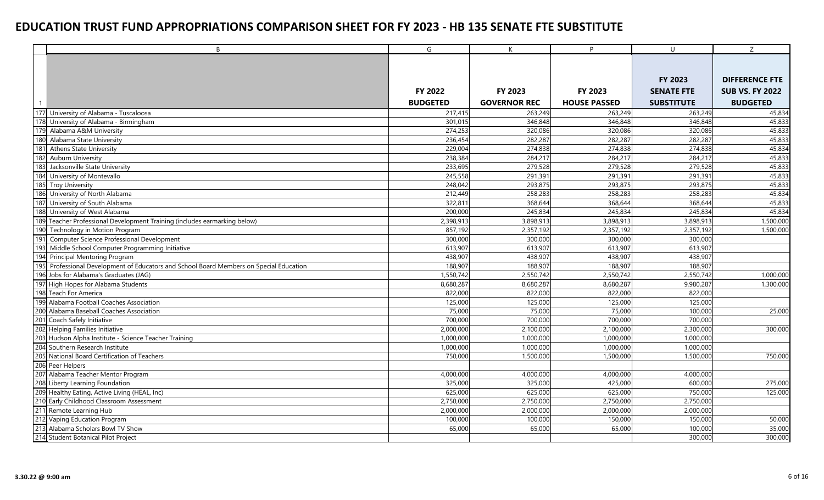|     | $\mathsf{B}$                                                                        | G               | $\mathsf{K}$        | P.                  | $\cup$            | Z                      |
|-----|-------------------------------------------------------------------------------------|-----------------|---------------------|---------------------|-------------------|------------------------|
|     |                                                                                     |                 |                     |                     |                   |                        |
|     |                                                                                     |                 |                     |                     |                   |                        |
|     |                                                                                     |                 |                     |                     | <b>FY 2023</b>    | <b>DIFFERENCE FTE</b>  |
|     |                                                                                     | <b>FY 2022</b>  | FY 2023             | FY 2023             | <b>SENATE FTE</b> | <b>SUB VS. FY 2022</b> |
|     |                                                                                     | <b>BUDGETED</b> | <b>GOVERNOR REC</b> | <b>HOUSE PASSED</b> | <b>SUBSTITUTE</b> | <b>BUDGETED</b>        |
| 177 | University of Alabama - Tuscaloosa                                                  | 217,415         | 263,249             | 263,249             | 263,249           | 45,834                 |
| 178 | University of Alabama - Birmingham                                                  | 301,015         | 346,848             | 346,848             | 346,848           | 45,833                 |
| 179 | Alabama A&M University                                                              | 274,253         | 320,086             | 320,086             | 320,086           | 45,833                 |
| 180 | Alabama State University                                                            | 236,454         | 282,287             | 282,287             | 282,287           | 45,833                 |
| 181 | <b>Athens State University</b>                                                      | 229,004         | 274,838             | 274,838             | 274,838           | 45,834                 |
| 182 | <b>Auburn University</b>                                                            | 238,384         | 284,217             | 284,217             | 284,217           | 45,833                 |
| 183 | Jacksonville State University                                                       | 233,695         | 279,528             | 279,528             | 279,528           | 45,833                 |
| 184 | University of Montevallo                                                            | 245,558         | 291,391             | 291,391             | 291,391           | 45,833                 |
| 185 | <b>Troy University</b>                                                              | 248,042         | 293,875             | 293,875             | 293,875           | 45,833                 |
| 186 | University of North Alabama                                                         | 212.449         | 258,283             | 258,283             | 258,283           | 45,834                 |
| 187 | University of South Alabama                                                         | 322,811         | 368,644             | 368,644             | 368,644           | 45,833                 |
| 188 | University of West Alabama                                                          | 200,000         | 245,834             | 245,834             | 245,834           | 45,834                 |
| 189 | Teacher Professional Development Training (includes earmarking below)               | 2,398,913       | 3,898,913           | 3,898,913           | 3,898,913         | 1,500,000              |
| 190 | Technology in Motion Program                                                        | 857,192         | 2,357,192           | 2,357,192           | 2,357,192         | 1,500,000              |
| 191 | Computer Science Professional Development                                           | 300,000         | 300,000             | 300,000             | 300,000           |                        |
| 193 | Middle School Computer Programming Initiative                                       | 613,907         | 613,907             | 613,907             | 613,907           |                        |
| 194 | Principal Mentoring Program                                                         | 438,907         | 438,907             | 438,907             | 438,907           |                        |
| 195 | Professional Development of Educators and School Board Members on Special Education | 188,907         | 188,907             | 188,907             | 188,907           |                        |
| 196 | Jobs for Alabama's Graduates (JAG)                                                  | 1,550,742       | 2,550,742           | 2,550,742           | 2,550,742         | 1,000,000              |
|     | 197 High Hopes for Alabama Students                                                 | 8,680,287       | 8,680,287           | 8,680,287           | 9,980,287         | 1,300,000              |
|     | 198 Teach For America                                                               | 822,000         | 822,000             | 822,000             | 822,000           |                        |
| 199 | Alabama Football Coaches Association                                                | 125,000         | 125,000             | 125,000             | 125,000           |                        |
| 200 | Alabama Baseball Coaches Association                                                | 75,000          | 75,000              | 75,000              | 100,000           | 25,000                 |
|     | 201 Coach Safely Initiative                                                         | 700,000         | 700,000             | 700,000             | 700,000           |                        |
| 202 | <b>Helping Families Initiative</b>                                                  | 2,000,000       | 2,100,000           | 2,100,000           | 2,300,000         | 300,000                |
|     | 203 Hudson Alpha Institute - Science Teacher Training                               | 1,000,000       | 1,000,000           | 1,000,000           | 1,000,000         |                        |
|     | 204 Southern Research Institute                                                     | 1,000,000       | 1,000,000           | 1,000,000           | 1,000,000         |                        |
|     | 205 National Board Certification of Teachers                                        | 750,000         | 1,500,000           | 1,500,000           | 1,500,000         | 750,000                |
|     | 206 Peer Helpers                                                                    |                 |                     |                     |                   |                        |
| 207 | Alabama Teacher Mentor Program                                                      | 4,000,000       | 4,000,000           | 4,000,000           | 4,000,000         |                        |
| 208 | Liberty Learning Foundation                                                         | 325,000         | 325,000             | 425,000             | 600,000           | 275,000                |
|     | 209 Healthy Eating, Active Living (HEAL, Inc)                                       | 625,000         | 625,000             | 625,000             | 750,000           | 125,000                |
|     | 210 Early Childhood Classroom Assessment                                            | 2,750,000       | 2,750,000           | 2,750,000           | 2,750,000         |                        |
|     | 211 Remote Learning Hub                                                             | 2,000,000       | 2,000,000           | 2,000,000           | 2,000,000         |                        |
|     | 212 Vaping Education Program                                                        | 100,000         | 100,000             | 150,000             | 150,000           | 50,000                 |
|     | 213 Alabama Scholars Bowl TV Show                                                   | 65,000          | 65,000              | 65,000              | 100,000           | 35,000                 |
|     | 214 Student Botanical Pilot Project                                                 |                 |                     |                     | 300,000           | 300,000                |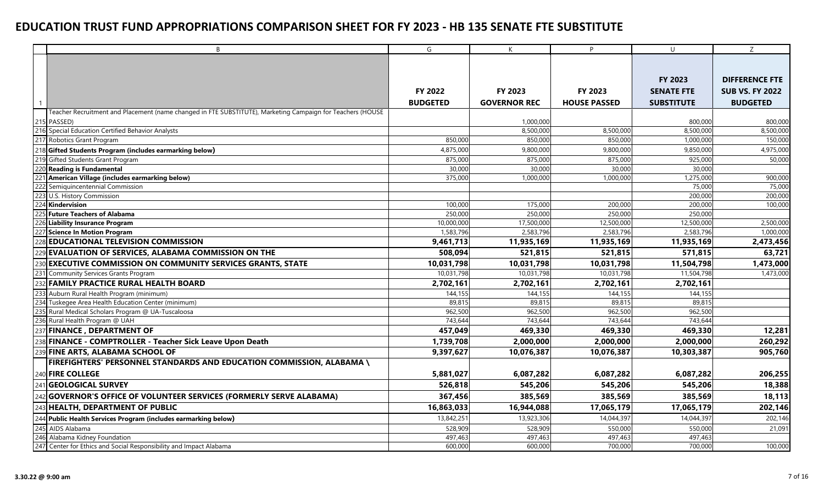|     | B                                                                                                          | G               | K                   | P                   | $\cup$            | Z                      |
|-----|------------------------------------------------------------------------------------------------------------|-----------------|---------------------|---------------------|-------------------|------------------------|
|     |                                                                                                            |                 |                     |                     |                   |                        |
|     |                                                                                                            |                 |                     |                     |                   |                        |
|     |                                                                                                            |                 |                     |                     | <b>FY 2023</b>    | <b>DIFFERENCE FTE</b>  |
|     |                                                                                                            | FY 2022         | FY 2023             | FY 2023             | <b>SENATE FTE</b> | <b>SUB VS. FY 2022</b> |
|     |                                                                                                            | <b>BUDGETED</b> | <b>GOVERNOR REC</b> | <b>HOUSE PASSED</b> | <b>SUBSTITUTE</b> | <b>BUDGETED</b>        |
|     | Teacher Recruitment and Placement (name changed in FTE SUBSTITUTE), Marketing Campaign for Teachers (HOUSE |                 |                     |                     |                   |                        |
|     | 215 PASSED)                                                                                                |                 | 1,000,000           |                     | 800,000           | 800,000                |
|     | 216 Special Education Certified Behavior Analysts                                                          |                 | 8,500,000           | 8,500,000           | 8,500,000         | 8,500,000              |
|     | 217 Robotics Grant Program                                                                                 | 850,000         | 850,000             | 850,000             | 1,000,000         | 150,000                |
| 218 | Gifted Students Program (includes earmarking below)                                                        | 4,875,000       | 9,800,000           | 9,800,000           | 9,850,000         | 4,975,000              |
|     | 219 Gifted Students Grant Program                                                                          | 875,000         | 875,000             | 875,000             | 925,000           | 50,000                 |
| 220 | <b>Reading is Fundamental</b>                                                                              | 30,000          | 30,000              | 30,000              | 30,000            |                        |
| 221 | American Village (includes earmarking below)                                                               | 375,000         | 1,000,000           | 1,000,000           | 1,275,000         | 900,000                |
| 222 | Semiguincentennial Commission                                                                              |                 |                     |                     | 75,000            | 75,000                 |
| 223 | U.S. History Commission                                                                                    |                 |                     |                     | 200,000           | 200.000                |
| 224 | Kindervision                                                                                               | 100,000         | 175,000             | 200,000             | 200,000           | 100,000                |
| 225 | <b>Future Teachers of Alabama</b>                                                                          | 250,000         | 250,000             | 250,000             | 250,000           |                        |
| 226 | Liability Insurance Program                                                                                | 10,000,000      | 17,500,000          | 12,500,000          | 12,500,000        | 2,500,000              |
| 227 | Science In Motion Program                                                                                  | 1,583,796       | 2,583,796           | 2,583,796           | 2,583,796         | 1,000,000              |
|     | <b>EDUCATIONAL TELEVISION COMMISSION</b>                                                                   | 9,461,713       | 11,935,169          | 11,935,169          | 11,935,169        | 2,473,456              |
|     | <b>EVALUATION OF SERVICES, ALABAMA COMMISSION ON THE</b>                                                   | 508,094         | 521,815             | 521,815             | 571,815           | 63,721                 |
| 23C | <b>EXECUTIVE COMMISSION ON COMMUNITY SERVICES GRANTS, STATE</b>                                            | 10,031,798      | 10,031,798          | 10,031,798          | 11,504,798        | 1,473,000              |
|     | 231 Community Services Grants Program                                                                      | 10,031,798      | 10,031,798          | 10,031,798          | 11,504,798        | 1,473,000              |
| 232 | <b>FAMILY PRACTICE RURAL HEALTH BOARD</b>                                                                  | 2,702,161       | 2,702,161           | 2,702,161           | 2,702,161         |                        |
| 233 | Auburn Rural Health Program (minimum)                                                                      | 144,155         | 144,155             | 144,155             | 144,155           |                        |
| 234 | Tuskegee Area Health Education Center (minimum)                                                            | 89,815          | 89,815              | 89,815              | 89,815            |                        |
|     | Rural Medical Scholars Program @ UA-Tuscaloosa                                                             | 962,500         | 962,500             | 962,500             | 962,500           |                        |
|     | 236 Rural Health Program @ UAH                                                                             | 743,644         | 743,644             | 743,644             | 743,644           |                        |
|     | 237 FINANCE, DEPARTMENT OF                                                                                 | 457,049         | 469,330             | 469,330             | 469,330           | 12,281                 |
| 238 | FINANCE - COMPTROLLER - Teacher Sick Leave Upon Death                                                      | 1,739,708       | 2,000,000           | 2,000,000           | 2,000,000         | 260,292                |
| 239 | <b>FINE ARTS, ALABAMA SCHOOL OF</b>                                                                        | 9,397,627       | 10,076,387          | 10,076,387          | 10,303,387        | 905,760                |
|     | FIREFIGHTERS' PERSONNEL STANDARDS AND EDUCATION COMMISSION, ALABAMA \                                      |                 |                     |                     |                   |                        |
|     | 240 FIRE COLLEGE                                                                                           | 5,881,027       | 6,087,282           | 6,087,282           | 6,087,282         | 206,255                |
| 241 | <b>GEOLOGICAL SURVEY</b>                                                                                   | 526,818         | 545,206             | 545,206             | 545,206           | 18,388                 |
| 242 | GOVERNOR'S OFFICE OF VOLUNTEER SERVICES (FORMERLY SERVE ALABAMA)                                           | 367,456         | 385,569             | 385,569             | 385,569           | 18,113                 |
| 243 | HEALTH, DEPARTMENT OF PUBLIC                                                                               | 16,863,033      | 16,944,088          | 17,065,179          | 17,065,179        | 202,146                |
|     | 244 Public Health Services Program (includes earmarking below)                                             | 13,842,251      | 13,923,306          | 14,044,397          | 14,044,397        | 202,146                |
| 245 | AIDS Alabama                                                                                               | 528,909         | 528,909             | 550,000             | 550,000           | 21,091                 |
|     | 246 Alabama Kidney Foundation                                                                              | 497,463         | 497,463             | 497,463             | 497,463           |                        |
|     | 247 Center for Ethics and Social Responsibility and Impact Alabama                                         | 600,000         | 600,000             | 700,000             | 700,000           | 100,000                |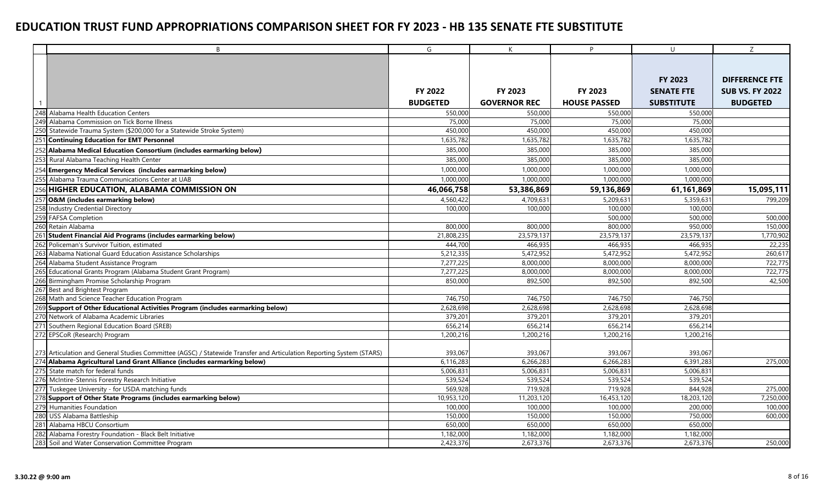|                 | B                                                                                                                    | G                  | K                   | P                   | $\cup$             | Z                      |
|-----------------|----------------------------------------------------------------------------------------------------------------------|--------------------|---------------------|---------------------|--------------------|------------------------|
|                 |                                                                                                                      |                    |                     |                     |                    |                        |
|                 |                                                                                                                      |                    |                     |                     |                    |                        |
|                 |                                                                                                                      |                    |                     |                     | FY 2023            | <b>DIFFERENCE FTE</b>  |
|                 |                                                                                                                      | <b>FY 2022</b>     | FY 2023             | FY 2023             | <b>SENATE FTE</b>  | <b>SUB VS. FY 2022</b> |
|                 |                                                                                                                      | <b>BUDGETED</b>    | <b>GOVERNOR REC</b> | <b>HOUSE PASSED</b> | <b>SUBSTITUTE</b>  | <b>BUDGETED</b>        |
|                 | 248 Alabama Health Education Centers                                                                                 | 550,000            | 550,000             | 550,000             | 550,000            |                        |
|                 | 249 Alabama Commission on Tick Borne Illness                                                                         | 75,000             | 75,000              | 75,000              | 75,000             |                        |
| 250             | Statewide Trauma System (\$200,000 for a Statewide Stroke System)                                                    | 450,000            | 450,000             | 450,000             | 450,000            |                        |
| 25 <sup>′</sup> | <b>Continuing Education for EMT Personnel</b>                                                                        | 1,635,782          | 1,635,782           | 1,635,782           | 1,635,782          |                        |
|                 | 252 Alabama Medical Education Consortium (includes earmarking below)                                                 | 385,000            | 385,000             | 385,000             | 385,000            |                        |
|                 | 253 Rural Alabama Teaching Health Center                                                                             | 385,000            | 385,000             | 385,000             | 385,000            |                        |
|                 | 254 Emergency Medical Services (includes earmarking below)                                                           | 1,000,000          | 1.000.000           | 1.000.000           | 1,000,000          |                        |
| 255             | Alabama Trauma Communications Center at UAB                                                                          | 1,000,000          | 1,000,000           | 1,000,000           | 1,000,000          |                        |
|                 | HIGHER EDUCATION, ALABAMA COMMISSION ON                                                                              | 46,066,758         | 53,386,869          | 59,136,869          | 61,161,869         | 15,095,111             |
|                 | <b>O&amp;M</b> (includes earmarking below)                                                                           | 4,560,422          | 4,709,631           | 5,209,631           | 5,359,631          | 799,209                |
| 258             | <b>Industry Credential Directory</b>                                                                                 | 100,000            | 100,000             | 100,000             | 100,000            |                        |
| 259             | <b>FAFSA Completion</b>                                                                                              |                    |                     | 500,000             | 500,000            | 500,000                |
| 260             | Retain Alabama                                                                                                       | 800,000            | 800,000             | 800,000             | 950,000            | 150,000                |
|                 | 261 Student Financial Aid Programs (includes earmarking below)                                                       | 21,808,235         | 23,579,137          | 23,579,137          | 23,579,137         | 1,770,902              |
| 262             | Policeman's Survivor Tuition, estimated                                                                              | 444,700            | 466,935             | 466,935             | 466,935            | 22,235                 |
| 263             | Alabama National Guard Education Assistance Scholarships                                                             | 5,212,335          | 5,472,952           | 5,472,952           | 5,472,952          | 260,617                |
|                 | 264 Alabama Student Assistance Program                                                                               | 7,277,225          | 8,000,000           | 8,000,000           | 8,000,000          | 722,775                |
| 265             | Educational Grants Program (Alabama Student Grant Program)                                                           | 7,277,225          | 8,000,000           | 8,000,000           | 8,000,000          | 722,775                |
|                 | 266 Birmingham Promise Scholarship Program                                                                           | 850,000            | 892,500             | 892,500             | 892,500            | 42,500                 |
|                 | 267 Best and Brightest Program                                                                                       |                    |                     |                     |                    |                        |
| 268             | Math and Science Teacher Education Program                                                                           | 746,750            | 746,750             | 746,750             | 746,750            |                        |
|                 | 269 Support of Other Educational Activities Program (includes earmarking below)                                      | 2,628,698          | 2,628,698           | 2,628,698           | 2,628,698          |                        |
|                 | 270 Network of Alabama Academic Libraries                                                                            | 379,201            | 379,201             | 379,201             | 379,201            |                        |
|                 | 271 Southern Regional Education Board (SREB)                                                                         | 656,214            | 656,214             | 656,214             | 656,214            |                        |
|                 | 272 EPSCoR (Research) Program                                                                                        | 1,200,216          | 1,200,216           | 1,200,216           | 1,200,216          |                        |
|                 |                                                                                                                      |                    |                     |                     |                    |                        |
|                 | 273 Articulation and General Studies Committee (AGSC) / Statewide Transfer and Articulation Reporting System (STARS) | 393,067            | 393,067             | 393,067             | 393,067            |                        |
|                 | Alabama Agricultural Land Grant Alliance (includes earmarking below)                                                 | 6,116,283          | 6,266,283           | 6,266,283           | 6,391,283          | 275,000                |
|                 | 275 State match for federal funds                                                                                    | 5.006.831          | 5,006,831           | 5.006.831           | 5.006.831          |                        |
|                 | 276 McIntire-Stennis Forestry Research Initiative                                                                    | 539,524            | 539,524             | 539,524             | 539,524            |                        |
| 277             | Tuskegee University - for USDA matching funds                                                                        | 569,928            | 719,928             | 719,928             | 844,928            | 275,000                |
|                 | 278 Support of Other State Programs (includes earmarking below)                                                      | 10,953,120         | 11,203,120          | 16,453,120          | 18,203,120         | 7,250,000              |
|                 | 279 Humanities Foundation                                                                                            | 100,000            | 100,000             | 100,000             | 200,000            | 100,000                |
| 280             | <b>USS Alabama Battleship</b><br>281 Alabama HBCU Consortium                                                         | 150,000<br>650,000 | 150,000<br>650,000  | 150,000<br>650,000  | 750,000<br>650,000 | 600,000                |
|                 |                                                                                                                      |                    |                     |                     |                    |                        |
| 282             | Alabama Forestry Foundation - Black Belt Initiative                                                                  | 1,182,000          | 1,182,000           | 1,182,000           | 1,182,000          |                        |
|                 | 283 Soil and Water Conservation Committee Program                                                                    | 2,423,376          | 2,673,376           | 2,673,376           | 2,673,376          | 250,000                |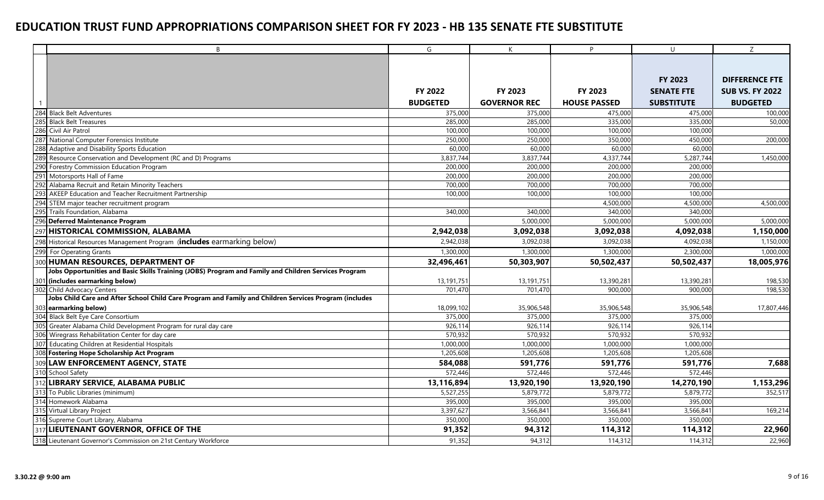|     | B                                                                                                      | G               | K                   | P.                  | $\cup$            | Z                      |
|-----|--------------------------------------------------------------------------------------------------------|-----------------|---------------------|---------------------|-------------------|------------------------|
|     |                                                                                                        |                 |                     |                     |                   |                        |
|     |                                                                                                        |                 |                     |                     |                   |                        |
|     |                                                                                                        |                 |                     |                     | FY 2023           | <b>DIFFERENCE FTE</b>  |
|     |                                                                                                        | <b>FY 2022</b>  | FY 2023             | <b>FY 2023</b>      | <b>SENATE FTE</b> | <b>SUB VS. FY 2022</b> |
|     |                                                                                                        | <b>BUDGETED</b> | <b>GOVERNOR REC</b> | <b>HOUSE PASSED</b> | <b>SUBSTITUTE</b> | <b>BUDGETED</b>        |
|     | 284 Black Belt Adventures                                                                              | 375,000         | 375,000             | 475,000             | 475,000           | 100,000                |
| 285 | <b>Black Belt Treasures</b>                                                                            | 285,000         | 285,000             | 335,000             | 335,000           | 50,000                 |
|     | 286 Civil Air Patrol                                                                                   | 100,000         | 100,000             | 100,000             | 100,000           |                        |
|     | 287 National Computer Forensics Institute                                                              | 250,000         | 250,000             | 350,000             | 450,000           | 200,000                |
| 288 | Adaptive and Disability Sports Education                                                               | 60,000          | 60,000              | 60,000              | 60,000            |                        |
| 289 | Resource Conservation and Development (RC and D) Programs                                              | 3,837,744       | 3,837,744           | 4,337,744           | 5,287,744         | 1,450,000              |
| 290 | Forestry Commission Education Program                                                                  | 200,000         | 200,000             | 200,000             | 200,000           |                        |
|     | 291 Motorsports Hall of Fame                                                                           | 200,000         | 200,000             | 200,000             | 200,000           |                        |
| 292 | Alabama Recruit and Retain Minority Teachers                                                           | 700,000         | 700,000             | 700,000             | 700,000           |                        |
| 293 | AKEEP Education and Teacher Recruitment Partnership                                                    | 100,000         | 100,000             | 100,000             | 100,000           |                        |
|     | 294 STEM major teacher recruitment program                                                             |                 |                     | 4,500,000           | 4,500,000         | 4,500,000              |
| 295 | Trails Foundation, Alabama                                                                             | 340,000         | 340,000             | 340,000             | 340,000           |                        |
|     | 296 Deferred Maintenance Program                                                                       |                 | 5,000,000           | 5,000,000           | 5,000,000         | 5,000,000              |
|     | 297 HISTORICAL COMMISSION, ALABAMA                                                                     | 2,942,038       | 3,092,038           | 3,092,038           | 4,092,038         | 1,150,000              |
|     | 298 Historical Resources Management Program (includes earmarking below)                                | 2,942,038       | 3,092,038           | 3,092,038           | 4,092,038         | 1,150,000              |
| 299 | For Operating Grants                                                                                   | 1,300,000       | 1,300,000           | 1,300,000           | 2,300,000         | 1,000,000              |
|     | 300 HUMAN RESOURCES, DEPARTMENT OF                                                                     | 32,496,461      | 50,303,907          | 50,502,437          | 50,502,437        | 18,005,976             |
|     | Jobs Opportunities and Basic Skills Training (JOBS) Program and Family and Children Services Program   |                 |                     |                     |                   |                        |
|     | 301 (includes earmarking below)                                                                        | 13,191,751      | 13,191,751          | 13,390,281          | 13,390,281        | 198,530                |
|     | 302 Child Advocacy Centers                                                                             | 701.470         | 701.470             | 900,000             | 900,000           | 198,530                |
|     | Jobs Child Care and After School Child Care Program and Family and Children Services Program (includes |                 |                     |                     |                   |                        |
|     | 303 earmarking below)                                                                                  | 18,099,102      | 35,906,548          | 35,906,548          | 35,906,548        | 17,807,446             |
|     | 304 Black Belt Eye Care Consortium                                                                     | 375,000         | 375,000             | 375,000             | 375,000           |                        |
| 305 | Greater Alabama Child Development Program for rural day care                                           | 926,114         | 926,114             | 926,114             | 926,114           |                        |
|     | 306 Wiregrass Rehabilitation Center for day care                                                       | 570,932         | 570,932             | 570,932             | 570,932           |                        |
|     | 307 Educating Children at Residential Hospitals                                                        | 1,000,000       | 1,000,000           | 1,000,000           | 1,000,000         |                        |
| 308 | <b>Fostering Hope Scholarship Act Program</b>                                                          | 1,205,608       | 1,205,608           | 1,205,608           | 1,205,608         |                        |
| 309 | <b>LAW ENFORCEMENT AGENCY, STATE</b>                                                                   | 584,088         | 591,776             | 591,776             | 591,776           | 7,688                  |
|     | 310 School Safety                                                                                      | 572,446         | 572,446             | 572,446             | 572,446           |                        |
| 312 | <b>LIBRARY SERVICE, ALABAMA PUBLIC</b>                                                                 | 13,116,894      | 13,920,190          | 13,920,190          | 14,270,190        | 1,153,296              |
| 313 | To Public Libraries (minimum)                                                                          | 5,527,255       | 5,879,772           | 5,879,772           | 5,879,772         | 352,517                |
|     | 314 Homework Alabama                                                                                   | 395,000         | 395,000             | 395,000             | 395,000           |                        |
|     | 315 Virtual Library Project                                                                            | 3,397,627       | 3,566,841           | 3,566,841           | 3,566,841         | 169,214                |
|     | 316 Supreme Court Library, Alabama                                                                     | 350,000         | 350,000             | 350,000             | 350,000           |                        |
|     | 317 LIEUTENANT GOVERNOR, OFFICE OF THE                                                                 | 91,352          | 94,312              | 114,312             | 114,312           | 22,960                 |
|     | 318 Lieutenant Governor's Commission on 21st Century Workforce                                         | 91,352          | 94,312              | 114,312             | 114,312           | 22,960                 |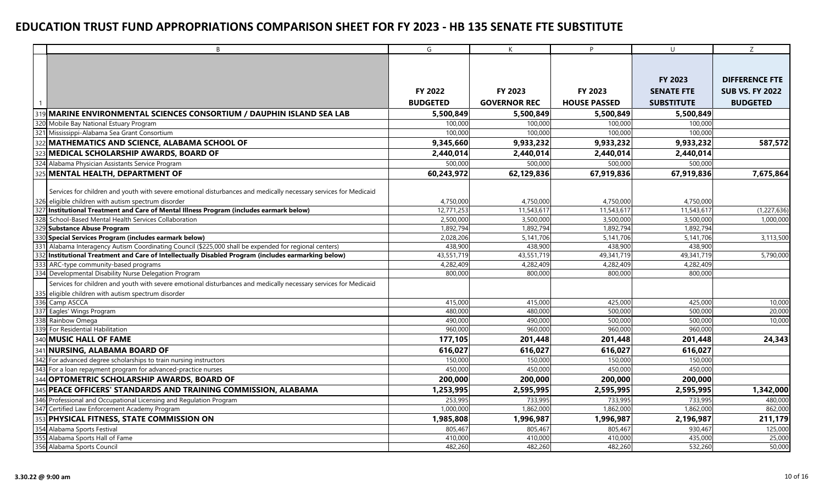|     | B                                                                                                                | G               | K                   | P                   | $\cup$            | Ζ                      |
|-----|------------------------------------------------------------------------------------------------------------------|-----------------|---------------------|---------------------|-------------------|------------------------|
|     |                                                                                                                  |                 |                     |                     |                   |                        |
|     |                                                                                                                  |                 |                     |                     |                   |                        |
|     |                                                                                                                  |                 |                     |                     | FY 2023           | <b>DIFFERENCE FTE</b>  |
|     |                                                                                                                  | FY 2022         | FY 2023             | FY 2023             | <b>SENATE FTE</b> | <b>SUB VS. FY 2022</b> |
|     |                                                                                                                  | <b>BUDGETED</b> | <b>GOVERNOR REC</b> | <b>HOUSE PASSED</b> | <b>SUBSTITUTE</b> | <b>BUDGETED</b>        |
| 319 | MARINE ENVIRONMENTAL SCIENCES CONSORTIUM / DAUPHIN ISLAND SEA LAB                                                | 5,500,849       | 5,500,849           | 5,500,849           | 5,500,849         |                        |
|     | 320 Mobile Bay National Estuary Program                                                                          | 100,000         | 100,000             | 100,000             | 100,000           |                        |
|     | 321 Mississippi-Alabama Sea Grant Consortium                                                                     | 100,000         | 100,000             | 100,000             | 100,000           |                        |
|     | MATHEMATICS AND SCIENCE, ALABAMA SCHOOL OF                                                                       | 9,345,660       | 9,933,232           | 9,933,232           | 9,933,232         | 587,572                |
|     | MEDICAL SCHOLARSHIP AWARDS, BOARD OF                                                                             | 2,440,014       | 2,440,014           | 2,440,014           | 2,440,014         |                        |
| 324 | Alabama Physician Assistants Service Program                                                                     | 500,000         | 500,000             | 500,000             | 500,000           |                        |
|     | MENTAL HEALTH, DEPARTMENT OF                                                                                     |                 |                     |                     |                   |                        |
|     |                                                                                                                  | 60,243,972      | 62,129,836          | 67,919,836          | 67,919,836        | 7,675,864              |
|     | Services for children and youth with severe emotional disturbances and medically necessary services for Medicaid |                 |                     |                     |                   |                        |
|     | 326 eligible children with autism spectrum disorder                                                              | 4,750,000       | 4,750,000           | 4,750,000           | 4,750,000         |                        |
| 327 | Institutional Treatment and Care of Mental Illness Program (includes earmark below)                              | 12,771,253      | 11,543,617          | 11,543,617          | 11,543,617        | (1, 227, 636)          |
|     | 328 School-Based Mental Health Services Collaboration                                                            | 2,500,000       | 3,500,000           | 3,500,000           | 3,500,000         | 1,000,000              |
| 329 | <b>Substance Abuse Program</b>                                                                                   | 1.892.794       | 1,892,794           | 1,892,794           | 1,892,794         |                        |
| 330 | Special Services Program (includes earmark below)                                                                | 2,028,206       | 5,141,706           | 5,141,706           | 5,141,706         | 3,113,500              |
|     | 331 Alabama Interagency Autism Coordinating Council (\$225,000 shall be expended for regional centers)           | 438,900         | 438,900             | 438,900             | 438,900           |                        |
| 332 | Institutional Treatment and Care of Intellectually Disabled Program (includes earmarking below)                  | 43,551,719      | 43,551,719          | 49,341,719          | 49,341,719        | 5,790,000              |
| 333 | ARC-type community-based programs                                                                                | 4,282,409       | 4,282,409           | 4,282,409           | 4,282,409         |                        |
|     | 334 Developmental Disability Nurse Delegation Program                                                            | 800,000         | 800,000             | 800,000             | 800,000           |                        |
|     | Services for children and youth with severe emotional disturbances and medically necessary services for Medicaid |                 |                     |                     |                   |                        |
|     | 335 eligible children with autism spectrum disorder                                                              |                 |                     |                     |                   |                        |
|     | 336 Camp ASCCA                                                                                                   | 415,000         | 415,000             | 425,000             | 425,000           | 10,000                 |
|     | 337 Eagles' Wings Program                                                                                        | 480,000         | 480,000             | 500,000             | 500,000           | 20,000                 |
|     | 338 Rainbow Omega                                                                                                | 490,000         | 490,000             | 500,000             | 500,000           | 10,000                 |
|     | 339 For Residential Habilitation                                                                                 | 960.000         | 960,000             | 960,000             | 960,000           |                        |
|     | 340 MUSIC HALL OF FAME                                                                                           | 177,105         | 201,448             | 201,448             | 201,448           | 24,343                 |
|     | 341 NURSING, ALABAMA BOARD OF                                                                                    | 616,027         | 616,027             | 616,027             | 616,027           |                        |
| 342 | For advanced degree scholarships to train nursing instructors                                                    | 150,000         | 150,000             | 150,000             | 150,000           |                        |
| 343 | For a loan repayment program for advanced-practice nurses                                                        | 450,000         | 450,000             | 450,000             | 450,000           |                        |
| 344 | <b>OPTOMETRIC SCHOLARSHIP AWARDS, BOARD OF</b>                                                                   | 200,000         | 200,000             | 200,000             | 200,000           |                        |
| 345 | PEACE OFFICERS' STANDARDS AND TRAINING COMMISSION, ALABAMA                                                       | 1,253,995       | 2,595,995           | 2,595,995           | 2,595,995         | 1,342,000              |
|     | 346 Professional and Occupational Licensing and Regulation Program                                               | 253,995         | 733,995             | 733,995             | 733,995           | 480,000                |
|     | 347 Certified Law Enforcement Academy Program                                                                    | 1,000,000       | 1,862,000           | 1,862,000           | 1,862,000         | 862,000                |
| 353 | <b>PHYSICAL FITNESS, STATE COMMISSION ON</b>                                                                     | 1,985,808       | 1,996,987           | 1,996,987           | 2,196,987         | 211,179                |
| 354 | Alabama Sports Festival                                                                                          | 805,467         | 805,467             | 805,467             | 930,467           | 125,000                |
| 355 | Alabama Sports Hall of Fame                                                                                      | 410,000         | 410,000             | 410,000             | 435,000           | 25,000                 |
|     | 356 Alabama Sports Council                                                                                       | 482,260         | 482,260             | 482,260             | 532,260           | 50,000                 |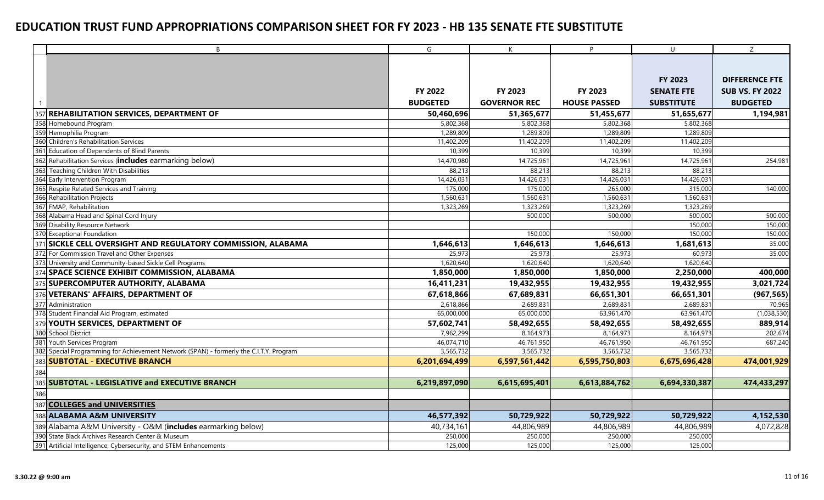|     | $\mathsf{B}$                                                                           | G               | $\mathsf{K}$        | P.                  | $\cup$            | Z                      |
|-----|----------------------------------------------------------------------------------------|-----------------|---------------------|---------------------|-------------------|------------------------|
|     |                                                                                        |                 |                     |                     |                   |                        |
|     |                                                                                        |                 |                     |                     |                   |                        |
|     |                                                                                        |                 |                     |                     | FY 2023           | <b>DIFFERENCE FTE</b>  |
|     |                                                                                        | <b>FY 2022</b>  | FY 2023             | FY 2023             | <b>SENATE FTE</b> | <b>SUB VS. FY 2022</b> |
|     |                                                                                        | <b>BUDGETED</b> | <b>GOVERNOR REC</b> | <b>HOUSE PASSED</b> | <b>SUBSTITUTE</b> | <b>BUDGETED</b>        |
| 357 | <b>REHABILITATION SERVICES, DEPARTMENT OF</b>                                          | 50,460,696      | 51,365,677          | 51,455,677          | 51,655,677        | 1,194,981              |
| 358 | Homebound Program                                                                      | 5,802,368       | 5,802,368           | 5,802,368           | 5,802,368         |                        |
|     | 359 Hemophilia Program                                                                 | 1,289,809       | 1,289,809           | 1,289,809           | 1,289,809         |                        |
| 360 | <b>Children's Rehabilitation Services</b>                                              | 11,402,209      | 11,402,209          | 11,402,209          | 11,402,209        |                        |
|     | 361 Education of Dependents of Blind Parents                                           | 10,399          | 10,399              | 10,399              | 10,399            |                        |
|     | 362 Rehabilitation Services (includes earmarking below)                                | 14,470,980      | 14,725,961          | 14,725,961          | 14,725,961        | 254,981                |
| 363 | Teaching Children With Disabilities                                                    | 88,213          | 88,213              | 88,213              | 88,213            |                        |
|     | 364 Early Intervention Program                                                         | 14,426,031      | 14,426,031          | 14,426,031          | 14,426,031        |                        |
|     | 365 Respite Related Services and Training                                              | 175,000         | 175,000             | 265,000             | 315,000           | 140,000                |
|     | 366 Rehabilitation Projects                                                            | 1,560,631       | 1,560,631           | 1,560,631           | 1,560,631         |                        |
|     | 367 FMAP, Rehabilitation                                                               | 1,323,269       | 1,323,269           | 1,323,269           | 1,323,269         |                        |
|     | 368 Alabama Head and Spinal Cord Injury                                                |                 | 500,000             | 500,000             | 500,000           | 500,000                |
|     | 369 Disability Resource Network                                                        |                 |                     |                     | 150,000           | 150,000                |
|     | 370 Exceptional Foundation                                                             |                 | 150,000             | 150,000             | 150,000           | 150,000                |
|     | 371 SICKLE CELL OVERSIGHT AND REGULATORY COMMISSION, ALABAMA                           | 1,646,613       | 1,646,613           | 1,646,613           | 1,681,613         | 35,000                 |
|     | 372 For Commission Travel and Other Expenses                                           | 25,973          | 25,973              | 25,973              | 60,973            | 35,000                 |
|     | 373 University and Community-based Sickle Cell Programs                                | 1,620,640       | 1,620,640           | 1,620,640           | 1,620,640         |                        |
|     | 374 SPACE SCIENCE EXHIBIT COMMISSION, ALABAMA                                          | 1,850,000       | 1,850,000           | 1,850,000           | 2,250,000         | 400,000                |
|     | 375 SUPERCOMPUTER AUTHORITY, ALABAMA                                                   | 16,411,231      | 19,432,955          | 19,432,955          | 19,432,955        | 3,021,724              |
|     | 376 VETERANS' AFFAIRS, DEPARTMENT OF                                                   | 67,618,866      | 67,689,831          | 66,651,301          | 66,651,301        | (967, 565)             |
|     | 377 Administration                                                                     | 2,618,866       | 2,689,831           | 2,689,831           | 2,689,831         | 70,965                 |
|     | 378 Student Financial Aid Program, estimated                                           | 65,000,000      | 65,000,000          | 63,961,470          | 63,961,470        | (1,038,530)            |
|     | 379 YOUTH SERVICES, DEPARTMENT OF                                                      | 57,602,741      | 58,492,655          | 58,492,655          | 58,492,655        | 889,914                |
|     | 380 School District                                                                    | 7,962,299       | 8,164,973           | 8,164,973           | 8,164,973         | 202,674                |
| 381 | Youth Services Program                                                                 | 46,074,710      | 46,761,950          | 46,761,950          | 46,761,950        | 687,240                |
|     | 382 Special Programming for Achievement Network (SPAN) - formerly the C.I.T.Y. Program | 3,565,732       | 3,565,732           | 3,565,732           | 3,565,732         |                        |
|     | 383 SUBTOTAL - EXECUTIVE BRANCH                                                        | 6,201,694,499   | 6,597,561,442       | 6,595,750,803       | 6,675,696,428     | 474,001,929            |
| 384 |                                                                                        |                 |                     |                     |                   |                        |
|     | 385 SUBTOTAL - LEGISLATIVE and EXECUTIVE BRANCH                                        | 6,219,897,090   | 6,615,695,401       | 6,613,884,762       | 6,694,330,387     | 474,433,297            |
| 386 |                                                                                        |                 |                     |                     |                   |                        |
| 387 | <b>COLLEGES and UNIVERSITIES</b>                                                       |                 |                     |                     |                   |                        |
|     | 388 ALABAMA A&M UNIVERSITY                                                             | 46,577,392      | 50,729,922          | 50,729,922          | 50,729,922        | 4,152,530              |
|     | 389 Alabama A&M University - O&M (includes earmarking below)                           | 40,734,161      | 44,806,989          | 44,806,989          | 44,806,989        | 4,072,828              |
|     | 390 State Black Archives Research Center & Museum                                      | 250,000         | 250,000             | 250,000             | 250,000           |                        |
|     | 391 Artificial Intelligence, Cybersecurity, and STEM Enhancements                      | 125,000         | 125,000             | 125,000             | 125,000           |                        |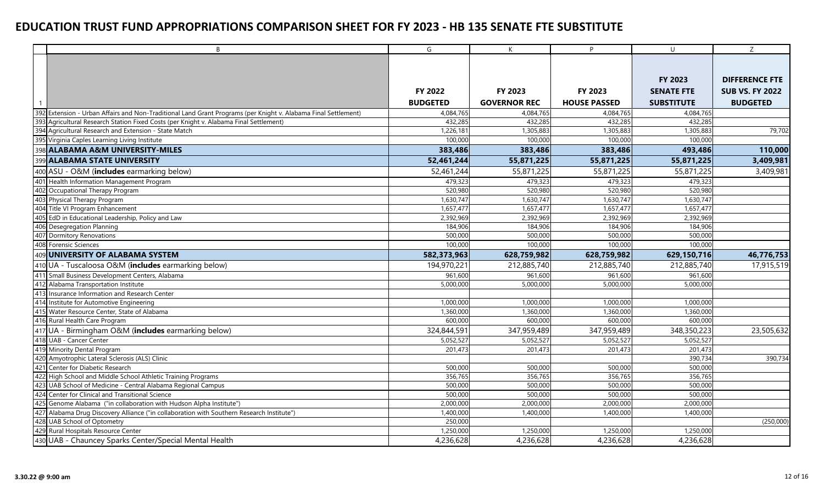|     | $\overline{B}$                                                                                                 | G               | K                   | P                   | $\cup$            | Z                      |
|-----|----------------------------------------------------------------------------------------------------------------|-----------------|---------------------|---------------------|-------------------|------------------------|
|     |                                                                                                                |                 |                     |                     |                   |                        |
|     |                                                                                                                |                 |                     |                     |                   |                        |
|     |                                                                                                                |                 |                     |                     | FY 2023           | <b>DIFFERENCE FTE</b>  |
|     |                                                                                                                | <b>FY 2022</b>  | FY 2023             | FY 2023             | <b>SENATE FTE</b> | <b>SUB VS. FY 2022</b> |
|     |                                                                                                                | <b>BUDGETED</b> | <b>GOVERNOR REC</b> | <b>HOUSE PASSED</b> | <b>SUBSTITUTE</b> | <b>BUDGETED</b>        |
|     | 392 Extension - Urban Affairs and Non-Traditional Land Grant Programs (per Knight v. Alabama Final Settlement) | 4,084,765       | 4,084,765           | 4,084,765           | 4,084,765         |                        |
| 393 | Agricultural Research Station Fixed Costs (per Knight v. Alabama Final Settlement)                             | 432,285         | 432,285             | 432,285             | 432,285           |                        |
|     | 394 Agricultural Research and Extension - State Match                                                          | 1,226,181       | 1,305,883           | 1,305,883           | 1,305,883         | 79,702                 |
|     | 395 Virginia Caples Learning Living Institute                                                                  | 100,000         | 100,000             | 100,000             | 100,000           |                        |
|     | 398 ALABAMA A&M UNIVERSITY-MILES                                                                               | 383,486         | 383,486             | 383,486             | 493,486           | 110,000                |
|     | 399 ALABAMA STATE UNIVERSITY                                                                                   | 52,461,244      | 55,871,225          | 55,871,225          | 55,871,225        | 3,409,981              |
|     | 400 ASU - O&M (includes earmarking below)                                                                      | 52,461,244      | 55,871,225          | 55,871,225          | 55,871,225        | 3,409,981              |
|     | 401 Health Information Management Program                                                                      | 479,323         | 479,323             | 479,323             | 479,323           |                        |
|     | 402 Occupational Therapy Program                                                                               | 520,980         | 520,980             | 520,980             | 520,980           |                        |
|     | 403 Physical Therapy Program                                                                                   | 1,630,747       | 1,630,747           | 1,630,747           | 1,630,747         |                        |
|     | 404 Title VI Program Enhancement                                                                               | 1,657,477       | 1,657,477           | 1,657,477           | 1,657,477         |                        |
|     | 405 EdD in Educational Leadership, Policy and Law                                                              | 2,392,969       | 2,392,969           | 2,392,969           | 2,392,969         |                        |
|     | 406 Desegregation Planning                                                                                     | 184,906         | 184,906             | 184,906             | 184,906           |                        |
|     | 407 Dormitory Renovations                                                                                      | 500,000         | 500,000             | 500,000             | 500,000           |                        |
|     | 408 Forensic Sciences                                                                                          | 100,000         | 100,000             | 100,000             | 100,000           |                        |
|     | 409 UNIVERSITY OF ALABAMA SYSTEM                                                                               | 582,373,963     | 628,759,982         | 628,759,982         | 629,150,716       | 46,776,753             |
|     | 410 UA - Tuscaloosa O&M (includes earmarking below)                                                            | 194,970,221     | 212,885,740         | 212,885,740         | 212,885,740       | 17,915,519             |
|     | 411 Small Business Development Centers, Alabama                                                                | 961,600         | 961,600             | 961,600             | 961,600           |                        |
|     | 412 Alabama Transportation Institute                                                                           | 5,000,000       | 5,000,000           | 5,000,000           | 5,000,000         |                        |
|     | 413 Insurance Information and Research Center                                                                  |                 |                     |                     |                   |                        |
|     | 414 Institute for Automotive Engineering                                                                       | 1,000,000       | 1,000,000           | 1,000,000           | 1,000,000         |                        |
|     | 415 Water Resource Center, State of Alabama                                                                    | 1,360,000       | 1,360,000           | 1,360,000           | 1,360,000         |                        |
|     | 416 Rural Health Care Program                                                                                  | 600,000         | 600,000             | 600,000             | 600,000           |                        |
|     | 417 UA - Birmingham O&M (includes earmarking below)                                                            | 324,844,591     | 347,959,489         | 347,959,489         | 348,350,223       | 23,505,632             |
|     | 418 UAB - Cancer Center                                                                                        | 5,052,527       | 5,052,527           | 5,052,527           | 5,052,527         |                        |
|     | 419 Minority Dental Program                                                                                    | 201,473         | 201,473             | 201,473             | 201,473           |                        |
|     | 420 Amyotrophic Lateral Sclerosis (ALS) Clinic                                                                 |                 |                     |                     | 390,734           | 390,734                |
| 421 | Center for Diabetic Research                                                                                   | 500,000         | 500,000             | 500,000             | 500,000           |                        |
|     | 422 High School and Middle School Athletic Training Programs                                                   | 356,765         | 356,765             | 356,765             | 356,765           |                        |
| 423 | UAB School of Medicine - Central Alabama Regional Campus                                                       | 500,000         | 500,000             | 500,000             | 500,000           |                        |
| 424 | Center for Clinical and Transitional Science                                                                   | 500,000         | 500,000             | 500,000             | 500,000           |                        |
| 425 | Genome Alabama ("in collaboration with Hudson Alpha Institute")                                                | 2,000,000       | 2,000,000           | 2,000,000           | 2,000,000         |                        |
| 427 | Alabama Drug Discovery Alliance ("in collaboration with Southern Research Institute")                          | 1,400,000       | 1,400,000           | 1,400,000           | 1,400,000         |                        |
|     | 428 UAB School of Optometry                                                                                    | 250,000         |                     |                     |                   | (250,000)              |
|     | 429 Rural Hospitals Resource Center                                                                            | 1,250,000       | 1,250,000           | 1,250,000           | 1,250,000         |                        |
|     | 430 UAB - Chauncey Sparks Center/Special Mental Health                                                         | 4,236,628       | 4,236,628           | 4,236,628           | 4,236,628         |                        |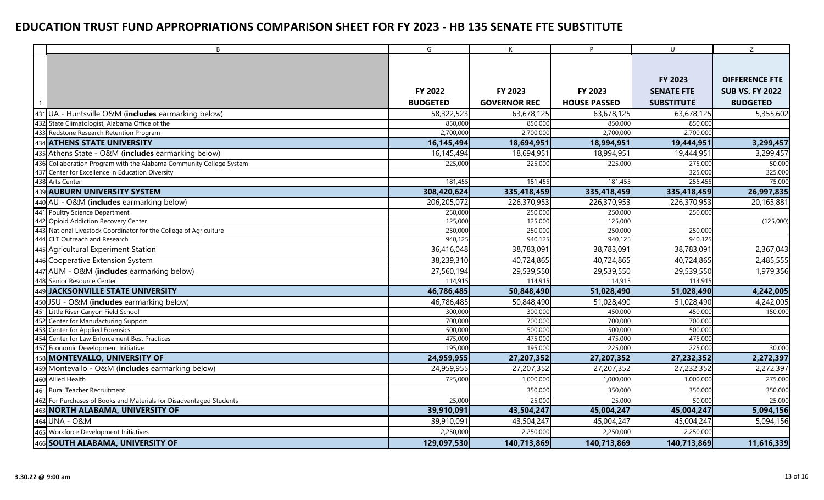|     | $\mathsf{B}$                                                    | $\overline{G}$  | K                   | P.                  | $\cup$            | Z                      |
|-----|-----------------------------------------------------------------|-----------------|---------------------|---------------------|-------------------|------------------------|
|     |                                                                 |                 |                     |                     |                   |                        |
|     |                                                                 |                 |                     |                     |                   |                        |
|     |                                                                 |                 |                     |                     | FY 2023           | <b>DIFFERENCE FTE</b>  |
|     |                                                                 | <b>FY 2022</b>  | <b>FY 2023</b>      | <b>FY 2023</b>      | <b>SENATE FTE</b> | <b>SUB VS. FY 2022</b> |
|     |                                                                 | <b>BUDGETED</b> | <b>GOVERNOR REC</b> | <b>HOUSE PASSED</b> | <b>SUBSTITUTE</b> | <b>BUDGETED</b>        |
|     | 431 UA - Huntsville O&M (includes earmarking below)             | 58,322,523      | 63,678,125          | 63,678,125          | 63,678,125        | 5,355,602              |
| 432 | State Climatologist, Alabama Office of the                      | 850,000         | 850,000             | 850,000             | 850,000           |                        |
| 433 | Redstone Research Retention Program                             | 2,700,000       | 2,700,000           | 2,700,000           | 2,700,000         |                        |
|     | <b>ATHENS STATE UNIVERSITY</b>                                  | 16,145,494      | 18,694,951          | 18,994,951          | 19,444,951        | 3,299,457              |
|     | Athens State - O&M (includes earmarking below)                  | 16,145,494      | 18,694,951          | 18,994,951          | 19,444,951        | 3,299,457              |
| 436 | Collaboration Program with the Alabama Community College System | 225,000         | 225,000             | 225,000             | 275,000           | 50,000                 |
| 437 | Center for Excellence in Education Diversity                    |                 |                     |                     | 325,000           | 325,000                |
| 438 | <b>Arts Center</b>                                              | 181,455         | 181,455             | 181,455             | 256,455           | 75,000                 |
| 439 | <b>AUBURN UNIVERSITY SYSTEM</b>                                 | 308,420,624     | 335,418,459         | 335,418,459         | 335,418,459       | 26,997,835             |
|     | 440 AU - O&M (includes earmarking below)                        | 206,205,072     | 226,370,953         | 226,370,953         | 226,370,953       | 20,165,881             |
|     | 441 Poultry Science Department                                  | 250,000         | 250,000             | 250,000             | 250,000           |                        |
| 442 | Opioid Addiction Recovery Center                                | 125,000         | 125,000             | 125,000             |                   | (125,000)              |
| 443 | National Livestock Coordinator for the College of Agriculture   | 250,000         | 250,000             | 250,000             | 250,000           |                        |
|     | 444 CLT Outreach and Research                                   | 940,125         | 940,125             | 940,125             | 940,125           |                        |
|     | 445 Agricultural Experiment Station                             | 36,416,048      | 38,783,091          | 38,783,091          | 38,783,091        | 2,367,043              |
| 446 | Cooperative Extension System                                    | 38,239,310      | 40,724,865          | 40,724,865          | 40,724,865        | 2,485,555              |
| 447 | AUM - O&M (includes earmarking below)                           | 27,560,194      | 29,539,550          | 29,539,550          | 29,539,550        | 1,979,356              |
| 448 | Senior Resource Center                                          | 114,915         | 114,915             | 114,915             | 114,915           |                        |
| 449 | JACKSONVILLE STATE UNIVERSITY                                   | 46,786,485      | 50,848,490          | 51,028,490          | 51,028,490        | 4,242,005              |
|     | 450 JSU - O&M (includes earmarking below)                       | 46,786,485      | 50,848,490          | 51,028,490          | 51,028,490        | 4,242,005              |
|     | 451 Little River Canyon Field School                            | 300,000         | 300,000             | 450,000             | 450,000           | 150,000                |
| 452 | Center for Manufacturing Support                                | 700,000         | 700,000             | 700,000             | 700,000           |                        |
| 453 | Center for Applied Forensics                                    | 500,000         | 500,000             | 500,000             | 500,000           |                        |
| 454 | Center for Law Enforcement Best Practices                       | 475,000         | 475,000             | 475,000             | 475,000           |                        |
|     | 457 Economic Development Initiative                             | 195,000         | 195,000             | 225,000             | 225,000           | 30,000                 |
| 458 | MONTEVALLO, UNIVERSITY OF                                       | 24,959,955      | 27,207,352          | 27,207,352          | 27,232,352        | 2,272,397              |
| 459 | Montevallo - O&M (includes earmarking below)                    | 24,959,955      | 27,207,352          | 27,207,352          | 27,232,352        | 2,272,397              |
|     | 460 Allied Health                                               | 725,000         | 1,000,000           | 1,000,000           | 1,000,000         | 275,000                |
|     | 461 Rural Teacher Recruitment                                   |                 | 350,000             | 350,000             | 350,000           | 350,000                |
| 462 | For Purchases of Books and Materials for Disadvantaged Students | 25,000          | 25,000              | 25,000              | 50,000            | 25,000                 |
| 463 | NORTH ALABAMA, UNIVERSITY OF                                    | 39,910,091      | 43,504,247          | 45,004,247          | 45,004,247        | 5,094,156              |
|     | 464 UNA - O&M                                                   | 39,910,091      | 43,504,247          | 45,004,247          | 45,004,247        | 5,094,156              |
|     | 465 Workforce Development Initiatives                           | 2,250,000       | 2,250,000           | 2,250,000           | 2,250,000         |                        |
|     | 466 SOUTH ALABAMA, UNIVERSITY OF                                | 129,097,530     | 140,713,869         | 140,713,869         | 140,713,869       | 11,616,339             |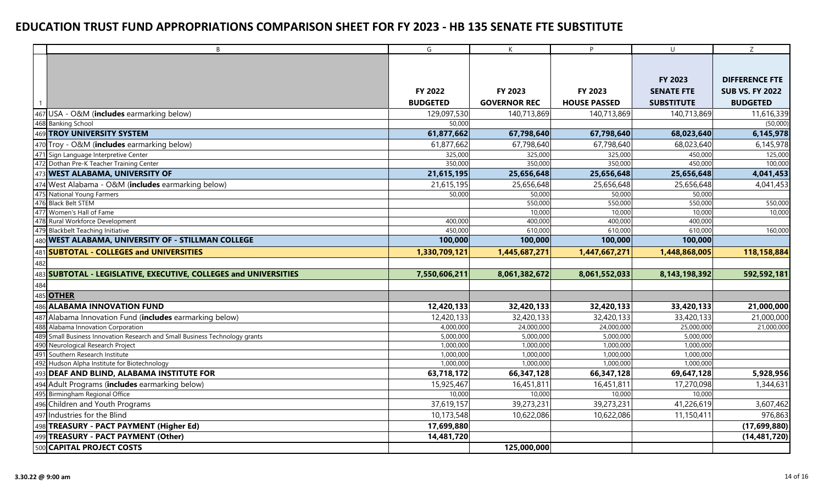| B                                                                              | $\overline{\mathsf{G}}$ | $\mathsf{K}$        | P.                  | $\cup$            | $\overline{Z}$         |
|--------------------------------------------------------------------------------|-------------------------|---------------------|---------------------|-------------------|------------------------|
|                                                                                |                         |                     |                     |                   |                        |
|                                                                                |                         |                     |                     |                   |                        |
|                                                                                |                         |                     |                     | FY 2023           | <b>DIFFERENCE FTE</b>  |
|                                                                                | FY 2022                 | FY 2023             | FY 2023             | <b>SENATE FTE</b> | <b>SUB VS. FY 2022</b> |
|                                                                                | <b>BUDGETED</b>         | <b>GOVERNOR REC</b> | <b>HOUSE PASSED</b> | <b>SUBSTITUTE</b> | <b>BUDGETED</b>        |
| 467 USA - O&M (includes earmarking below)                                      | 129,097,530             | 140,713,869         | 140,713,869         | 140,713,869       | 11,616,339             |
| 468 Banking School                                                             | 50,000                  |                     |                     |                   | (50,000)               |
| 469 TROY UNIVERSITY SYSTEM                                                     | 61,877,662              | 67,798,640          | 67,798,640          | 68,023,640        | 6,145,978              |
| 470 Troy - O&M (includes earmarking below)                                     | 61,877,662              | 67,798,640          | 67,798,640          | 68,023,640        | 6,145,978              |
| 471 Sign Language Interpretive Center                                          | 325,000                 | 325,000             | 325,000             | 450,000           | 125,000                |
| 472 Dothan Pre-K Teacher Training Center                                       | 350,000                 | 350,000             | 350,000             | 450,000           | 100,000                |
| 473 WEST ALABAMA, UNIVERSITY OF                                                | 21,615,195              | 25,656,648          | 25,656,648          | 25,656,648        | 4,041,453              |
| 474 West Alabama - O&M (includes earmarking below)                             | 21,615,195              | 25,656,648          | 25,656,648          | 25,656,648        | 4,041,453              |
| 475 National Young Farmers                                                     | 50,000                  | 50,000              | 50,000              | 50,000            |                        |
| 476 Black Belt STEM                                                            |                         | 550,000             | 550,000             | 550,000           | 550,000                |
| 477 Women's Hall of Fame                                                       |                         | 10,000              | 10,000              | 10,000            | 10,000                 |
| 478 Rural Workforce Development                                                | 400,000                 | 400,000             | 400,000             | 400,000           |                        |
| 479 Blackbelt Teaching Initiative                                              | 450,000                 | 610,000             | 610,000             | 610,000           | 160,000                |
| 480 WEST ALABAMA, UNIVERSITY OF - STILLMAN COLLEGE                             | 100,000                 | 100,000             | 100,000             | 100,000           |                        |
| <b>SUBTOTAL - COLLEGES and UNIVERSITIES</b><br>481                             | 1,330,709,121           | 1,445,687,271       | 1,447,667,271       | 1,448,868,005     | 118,158,884            |
| 482                                                                            |                         |                     |                     |                   |                        |
| 483 SUBTOTAL - LEGISLATIVE, EXECUTIVE, COLLEGES and UNIVERSITIES               | 7,550,606,211           | 8,061,382,672       | 8,061,552,033       | 8,143,198,392     | 592,592,181            |
| 484                                                                            |                         |                     |                     |                   |                        |
| 485 OTHER                                                                      |                         |                     |                     |                   |                        |
| 486 ALABAMA INNOVATION FUND                                                    | 12,420,133              | 32,420,133          | 32,420,133          | 33,420,133        | 21,000,000             |
| 487 Alabama Innovation Fund (includes earmarking below)                        | 12,420,133              | 32,420,133          | 32,420,133          | 33,420,133        | 21,000,000             |
| 488 Alabama Innovation Corporation                                             | 4,000,000               | 24,000,000          | 24,000,000          | 25,000,000        | 21,000,000             |
| 489<br>Small Business Innovation Research and Small Business Technology grants | 5,000,000               | 5,000,000           | 5,000,000           | 5,000,000         |                        |
| 490 Neurological Research Project                                              | 1,000,000               | 1,000,000           | 1,000,000           | 1,000,000         |                        |
| 491 Southern Research Institute                                                | 1,000,000               | 1,000,000           | 1,000,000           | 1,000,000         |                        |
| 492 Hudson Alpha Institute for Biotechnology                                   | 1,000,000               | 1,000,000           | 1,000,000           | 1,000,000         |                        |
| 493 DEAF AND BLIND, ALABAMA INSTITUTE FOR                                      | 63,718,172              | 66,347,128          | 66,347,128          | 69,647,128        | 5,928,956              |
| 494 Adult Programs (includes earmarking below)                                 | 15,925,467              | 16,451,811          | 16,451,811          | 17,270,098        | 1,344,631              |
| 495 Birmingham Regional Office                                                 | 10,000                  | 10,000              | 10,000              | 10,000            |                        |
| 496 Children and Youth Programs                                                | 37,619,157              | 39,273,231          | 39,273,231          | 41,226,619        | 3,607,462              |
| 497 Industries for the Blind                                                   | 10,173,548              | 10,622,086          | 10,622,086          | 11,150,411        | 976,863                |
| 498 TREASURY - PACT PAYMENT (Higher Ed)                                        | 17,699,880              |                     |                     |                   | (17,699,880)           |
| 499 TREASURY - PACT PAYMENT (Other)                                            | 14,481,720              |                     |                     |                   | (14, 481, 720)         |
| 500 CAPITAL PROJECT COSTS                                                      |                         | 125,000,000         |                     |                   |                        |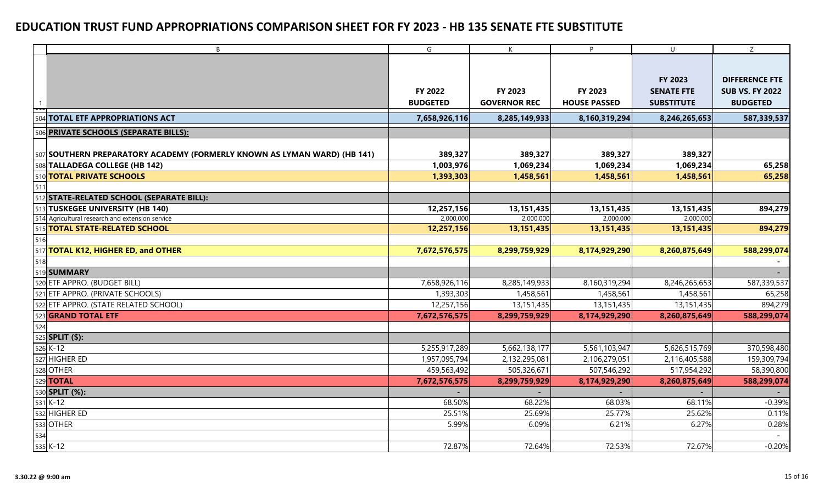|     | B                                                                        | G               | K                   | P                   | $\cup$            | Z                      |
|-----|--------------------------------------------------------------------------|-----------------|---------------------|---------------------|-------------------|------------------------|
|     |                                                                          |                 |                     |                     |                   |                        |
|     |                                                                          |                 |                     |                     |                   |                        |
|     |                                                                          |                 |                     |                     | FY 2023           | <b>DIFFERENCE FTE</b>  |
|     |                                                                          | FY 2022         | FY 2023             | FY 2023             | <b>SENATE FTE</b> | <b>SUB VS. FY 2022</b> |
|     |                                                                          | <b>BUDGETED</b> | <b>GOVERNOR REC</b> | <b>HOUSE PASSED</b> | <b>SUBSTITUTE</b> | <b>BUDGETED</b>        |
|     | 504 TOTAL ETF APPROPRIATIONS ACT                                         | 7,658,926,116   | 8,285,149,933       | 8,160,319,294       | 8,246,265,653     | 587,339,537            |
| 506 | <b>PRIVATE SCHOOLS (SEPARATE BILLS):</b>                                 |                 |                     |                     |                   |                        |
|     |                                                                          |                 |                     |                     |                   |                        |
|     | 507 SOUTHERN PREPARATORY ACADEMY (FORMERLY KNOWN AS LYMAN WARD) (HB 141) | 389,327         | 389,327             | 389,327             | 389,327           |                        |
|     | 508 TALLADEGA COLLEGE (HB 142)                                           | 1,003,976       | 1,069,234           | 1,069,234           | 1,069,234         | 65,258                 |
|     | 510 TOTAL PRIVATE SCHOOLS                                                | 1,393,303       | 1,458,561           | 1,458,561           | 1,458,561         | 65,258                 |
| 511 |                                                                          |                 |                     |                     |                   |                        |
|     | 512 STATE-RELATED SCHOOL (SEPARATE BILL):                                |                 |                     |                     |                   |                        |
|     | 513 TUSKEGEE UNIVERSITY (HB 140)                                         | 12,257,156      | 13,151,435          | 13,151,435          | 13,151,435        | 894,279                |
|     | 514 Agricultural research and extension service                          | 2,000,000       | 2,000,000           | 2,000,000           | 2,000,000         |                        |
|     | 515 TOTAL STATE-RELATED SCHOOL                                           | 12,257,156      | 13,151,435          | 13,151,435          | 13, 151, 435      | 894,279                |
| 516 |                                                                          |                 |                     |                     |                   |                        |
|     | 517 TOTAL K12, HIGHER ED, and OTHER                                      | 7,672,576,575   | 8,299,759,929       | 8,174,929,290       | 8,260,875,649     | 588,299,074            |
| 518 |                                                                          |                 |                     |                     |                   |                        |
|     | 519 SUMMARY                                                              |                 |                     |                     |                   |                        |
|     | 520 ETF APPRO. (BUDGET BILL)                                             | 7,658,926,116   | 8,285,149,933       | 8,160,319,294       | 8,246,265,653     | 587,339,537            |
|     | 521 ETF APPRO. (PRIVATE SCHOOLS)                                         | 1,393,303       | 1,458,561           | 1,458,561           | 1,458,561         | 65,258                 |
|     | 522 ETF APPRO. (STATE RELATED SCHOOL)                                    | 12,257,156      | 13,151,435          | 13,151,435          | 13,151,435        | 894,279                |
|     | 523 <b>GRAND TOTAL ETF</b>                                               | 7,672,576,575   | 8,299,759,929       | 8,174,929,290       | 8,260,875,649     | 588,299,074            |
| 524 |                                                                          |                 |                     |                     |                   |                        |
|     | 525 <b>SPLIT</b> $($):$                                                  |                 |                     |                     |                   |                        |
|     | $526$ K-12                                                               | 5,255,917,289   | 5,662,138,177       | 5,561,103,947       | 5,626,515,769     | 370,598,480            |
|     | 527 HIGHER ED                                                            | 1,957,095,794   | 2,132,295,081       | 2,106,279,051       | 2,116,405,588     | 159,309,794            |
|     | 528 OTHER                                                                | 459,563,492     | 505,326,671         | 507,546,292         | 517,954,292       | 58,390,800             |
|     | 529 <b>TOTAL</b>                                                         | 7,672,576,575   | 8,299,759,929       | 8,174,929,290       | 8,260,875,649     | 588,299,074            |
|     | 530 <b>SPLIT (%):</b>                                                    |                 |                     |                     |                   |                        |
|     | $531K-12$                                                                | 68.50%          | 68.22%              | 68.03%              | 68.11%            | $-0.39%$               |
|     | 532 HIGHER ED                                                            | 25.51%          | 25.69%              | 25.77%              | 25.62%            | 0.11%                  |
|     | 533 OTHER                                                                | 5.99%           | 6.09%               | 6.21%               | 6.27%             | 0.28%                  |
| 534 |                                                                          |                 |                     |                     |                   |                        |
|     | 535 K-12                                                                 | 72.87%          | 72.64%              | 72.53%              | 72.67%            | $-0.20%$               |